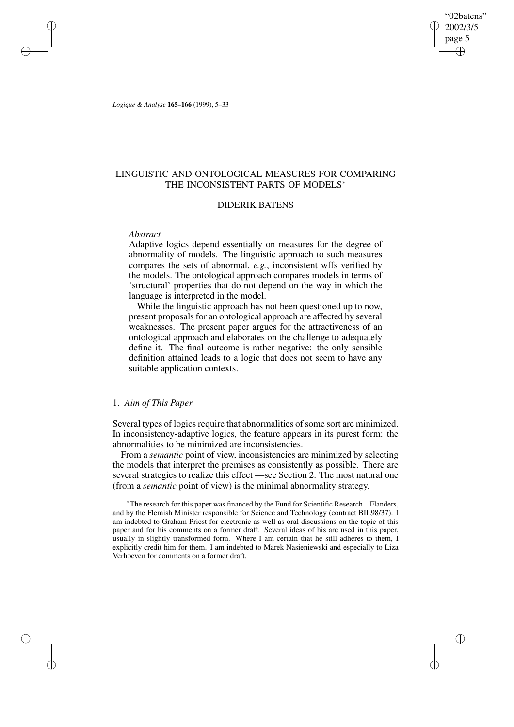"02batens" 2002/3/5 page 5 ✐ ✐

✐

✐

*Logique & Analyse* **165–166** (1999), 5–33

✐

✐

✐

✐

# LINGUISTIC AND ONTOLOGICAL MEASURES FOR COMPARING THE INCONSISTENT PARTS OF MODELS<sup>\*</sup>

## DIDERIK BATENS

### *Abstract*

Adaptive logics depend essentially on measures for the degree of abnormality of models. The linguistic approach to such measures compares the sets of abnormal, *e.g.*, inconsistent wffs verified by the models. The ontological approach compares models in terms of 'structural' properties that do not depend on the way in which the language is interpreted in the model.

While the linguistic approach has not been questioned up to now, present proposals for an ontological approach are affected by several weaknesses. The present paper argues for the attractiveness of an ontological approach and elaborates on the challenge to adequately define it. The final outcome is rather negative: the only sensible definition attained leads to a logic that does not seem to have any suitable application contexts.

# 1. *Aim of This Paper*

Several types of logics require that abnormalities of some sort are minimized. In inconsistency-adaptive logics, the feature appears in its purest form: the abnormalities to be minimized are inconsistencies.

From a *semantic* point of view, inconsistencies are minimized by selecting the models that interpret the premises as consistently as possible. There are several strategies to realize this effect —see Section 2. The most natural one (from a *semantic* point of view) is the minimal abnormality strategy.

<sup>∗</sup>The research for this paper was financed by the Fund for Scientific Research – Flanders, and by the Flemish Minister responsible for Science and Technology (contract BIL98/37). I am indebted to Graham Priest for electronic as well as oral discussions on the topic of this paper and for his comments on a former draft. Several ideas of his are used in this paper, usually in slightly transformed form. Where I am certain that he still adheres to them, I explicitly credit him for them. I am indebted to Marek Nasieniewski and especially to Liza Verhoeven for comments on a former draft.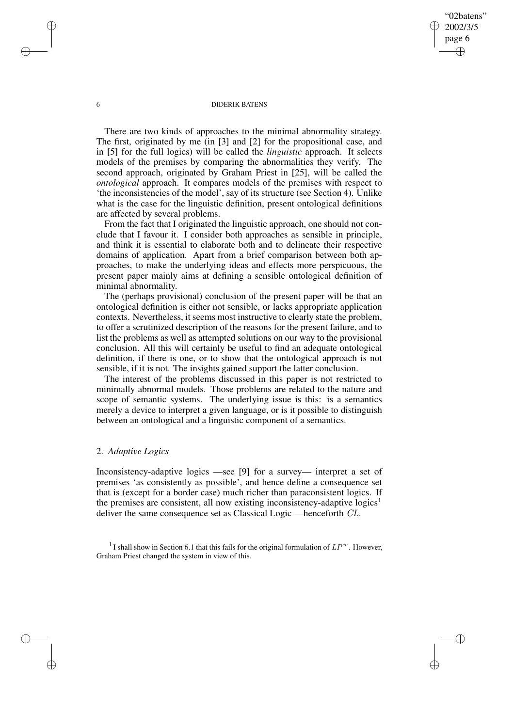"02batens" 2002/3/5 page 6

✐

✐

✐

✐

There are two kinds of approaches to the minimal abnormality strategy. The first, originated by me (in [3] and [2] for the propositional case, and in [5] for the full logics) will be called the *linguistic* approach. It selects models of the premises by comparing the abnormalities they verify. The second approach, originated by Graham Priest in [25], will be called the *ontological* approach. It compares models of the premises with respect to 'the inconsistencies of the model', say of its structure (see Section 4). Unlike what is the case for the linguistic definition, present ontological definitions are affected by several problems.

From the fact that I originated the linguistic approach, one should not conclude that I favour it. I consider both approaches as sensible in principle, and think it is essential to elaborate both and to delineate their respective domains of application. Apart from a brief comparison between both approaches, to make the underlying ideas and effects more perspicuous, the present paper mainly aims at defining a sensible ontological definition of minimal abnormality.

The (perhaps provisional) conclusion of the present paper will be that an ontological definition is either not sensible, or lacks appropriate application contexts. Nevertheless, it seems most instructive to clearly state the problem, to offer a scrutinized description of the reasons for the present failure, and to list the problems as well as attempted solutions on our way to the provisional conclusion. All this will certainly be useful to find an adequate ontological definition, if there is one, or to show that the ontological approach is not sensible, if it is not. The insights gained support the latter conclusion.

The interest of the problems discussed in this paper is not restricted to minimally abnormal models. Those problems are related to the nature and scope of semantic systems. The underlying issue is this: is a semantics merely a device to interpret a given language, or is it possible to distinguish between an ontological and a linguistic component of a semantics.

# 2. *Adaptive Logics*

Inconsistency-adaptive logics —see [9] for a survey— interpret a set of premises 'as consistently as possible', and hence define a consequence set that is (except for a border case) much richer than paraconsistent logics. If the premises are consistent, all now existing inconsistency-adaptive logics<sup>1</sup> deliver the same consequence set as Classical Logic —henceforth CL.

<sup>1</sup> I shall show in Section 6.1 that this fails for the original formulation of  $LP^m$ . However, Graham Priest changed the system in view of this.

✐

✐

✐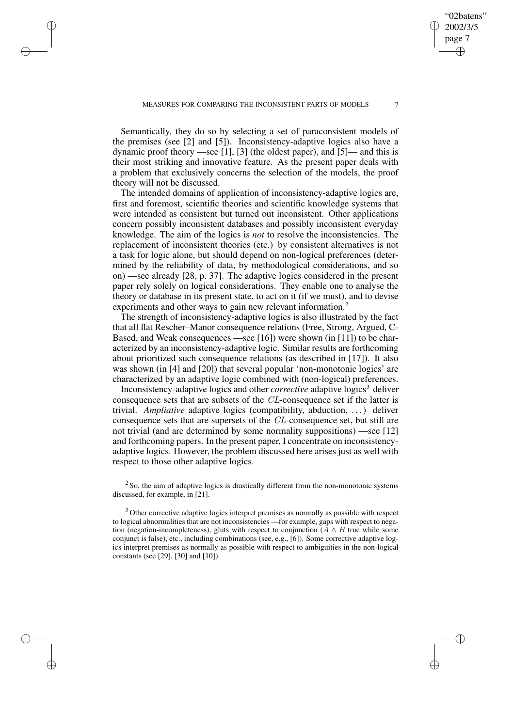✐

✐

✐

Semantically, they do so by selecting a set of paraconsistent models of the premises (see [2] and [5]). Inconsistency-adaptive logics also have a dynamic proof theory —see [1], [3] (the oldest paper), and [5]— and this is their most striking and innovative feature. As the present paper deals with a problem that exclusively concerns the selection of the models, the proof theory will not be discussed.

The intended domains of application of inconsistency-adaptive logics are, first and foremost, scientific theories and scientific knowledge systems that were intended as consistent but turned out inconsistent. Other applications concern possibly inconsistent databases and possibly inconsistent everyday knowledge. The aim of the logics is *not* to resolve the inconsistencies. The replacement of inconsistent theories (etc.) by consistent alternatives is not a task for logic alone, but should depend on non-logical preferences (determined by the reliability of data, by methodological considerations, and so on) —see already [28, p. 37]. The adaptive logics considered in the present paper rely solely on logical considerations. They enable one to analyse the theory or database in its present state, to act on it (if we must), and to devise experiments and other ways to gain new relevant information.<sup>2</sup>

The strength of inconsistency-adaptive logics is also illustrated by the fact that all flat Rescher–Manor consequence relations (Free, Strong, Argued, C-Based, and Weak consequences —see [16]) were shown (in [11]) to be characterized by an inconsistency-adaptive logic. Similar results are forthcoming about prioritized such consequence relations (as described in [17]). It also was shown (in [4] and [20]) that several popular 'non-monotonic logics' are characterized by an adaptive logic combined with (non-logical) preferences.

Inconsistency-adaptive logics and other *corrective* adaptive logics<sup>3</sup> deliver consequence sets that are subsets of the CL-consequence set if the latter is trivial. *Ampliative* adaptive logics (compatibility, abduction, . . .) deliver consequence sets that are supersets of the CL-consequence set, but still are not trivial (and are determined by some normality suppositions) —see [12] and forthcoming papers. In the present paper, I concentrate on inconsistencyadaptive logics. However, the problem discussed here arises just as well with respect to those other adaptive logics.

 $2$  So, the aim of adaptive logics is drastically different from the non-monotonic systems discussed, for example, in [21].

<sup>3</sup> Other corrective adaptive logics interpret premises as normally as possible with respect to logical abnormalities that are not inconsistencies —for example, gaps with respect to negation (negation-incompleteness), gluts with respect to conjunction ( $A \wedge B$  true while some conjunct is false), etc., including combinations (see, e.g., [6]). Some corrective adaptive logics interpret premises as normally as possible with respect to ambiguities in the non-logical constants (see [29], [30] and [10]).

"02batens" 2002/3/5 page 7

✐

✐

✐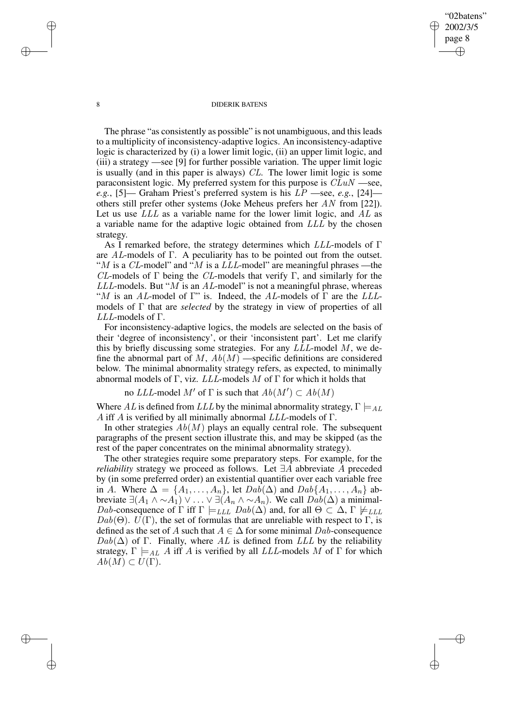"02batens" 2002/3/5 page 8

✐

✐

✐

✐

The phrase "as consistently as possible" is not unambiguous, and this leads to a multiplicity of inconsistency-adaptive logics. An inconsistency-adaptive logic is characterized by (i) a lower limit logic, (ii) an upper limit logic, and (iii) a strategy —see [9] for further possible variation. The upper limit logic is usually (and in this paper is always) CL. The lower limit logic is some paraconsistent logic. My preferred system for this purpose is  $CLuN$  —see, *e.g.*, [5]— Graham Priest's preferred system is his LP —see, *e.g.*, [24] others still prefer other systems (Joke Meheus prefers her AN from [22]). Let us use  $LLL$  as a variable name for the lower limit logic, and  $AL$  as a variable name for the adaptive logic obtained from LLL by the chosen strategy.

As I remarked before, the strategy determines which  $LLL$ -models of  $\Gamma$ are AL-models of  $\Gamma$ . A peculiarity has to be pointed out from the outset. "M is a CL-model" and "M is a LLL-model" are meaningful phrases —the CL-models of  $\Gamma$  being the CL-models that verify  $\Gamma$ , and similarly for the  $LLL$ -models. But "M is an AL-model" is not a meaningful phrase, whereas "M is an AL-model of  $\Gamma$ " is. Indeed, the AL-models of  $\Gamma$  are the LLLmodels of Γ that are *selected* by the strategy in view of properties of all LLL-models of Γ.

For inconsistency-adaptive logics, the models are selected on the basis of their 'degree of inconsistency', or their 'inconsistent part'. Let me clarify this by briefly discussing some strategies. For any  $LLL$ -model  $M$ , we define the abnormal part of  $M$ ,  $Ab(M)$  —specific definitions are considered below. The minimal abnormality strategy refers, as expected, to minimally abnormal models of Γ, viz.  $LLL$ -models M of Γ for which it holds that

no LLL-model M' of  $\Gamma$  is such that  $Ab(M') \subset Ab(M)$ 

Where AL is defined from LLL by the minimal abnormality strategy,  $\Gamma \models_{AL}$ A iff A is verified by all minimally abnormal  $LLL$ -models of  $\Gamma$ .

In other strategies  $Ab(M)$  plays an equally central role. The subsequent paragraphs of the present section illustrate this, and may be skipped (as the rest of the paper concentrates on the minimal abnormality strategy).

The other strategies require some preparatory steps. For example, for the *reliability* strategy we proceed as follows. Let ∃A abbreviate A preceded by (in some preferred order) an existential quantifier over each variable free in A. Where  $\Delta = \{A_1, \ldots, A_n\}$ , let  $Dab(\Delta)$  and  $Dab\{A_1, \ldots, A_n\}$  abbreviate  $\exists (A_1 \land \sim A_1) \lor \ldots \lor \exists (A_n \land \sim A_n)$ . We call  $Dab(\Delta)$  a minimal-Dab-consequence of  $\Gamma$  iff  $\Gamma \models_{LLL} Dab(\Delta)$  and, for all  $\Theta \subset \Delta$ ,  $\Gamma \not\models_{LLL}$  $Dab(\Theta)$ .  $U(\Gamma)$ , the set of formulas that are unreliable with respect to  $\Gamma$ , is defined as the set of A such that  $A \in \Delta$  for some minimal Dab-consequence  $Dab(\Delta)$  of Γ. Finally, where AL is defined from LLL by the reliability strategy,  $\Gamma \models_{AL} A$  iff A is verified by all LLL-models M of  $\Gamma$  for which  $Ab(M) \subset U(\Gamma)$ .

✐

✐

✐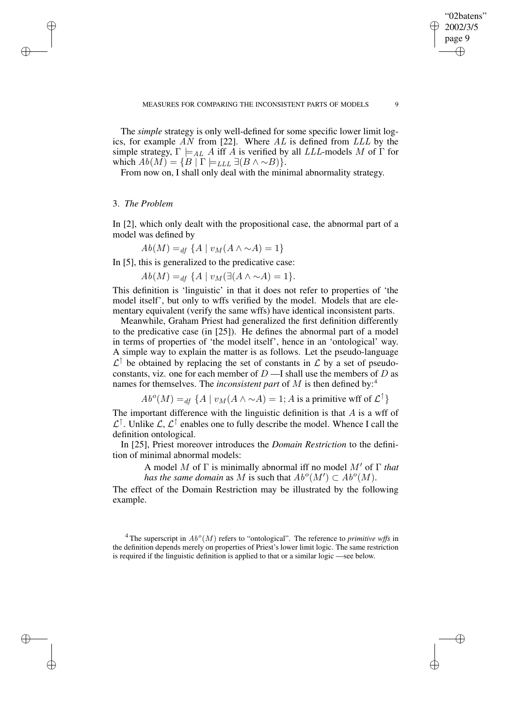The *simple* strategy is only well-defined for some specific lower limit logics, for example  $AN$  from [22]. Where  $AL$  is defined from  $LLL$  by the simple strategy,  $\Gamma \models_{AL} A$  iff A is verified by all LLL-models M of  $\Gamma$  for which  $Ab(M) = \{B \mid \Gamma \models_{LLL} \exists (B \land \sim B)\}.$ 

From now on, I shall only deal with the minimal abnormality strategy.

# 3. *The Problem*

✐

✐

✐

✐

In [2], which only dealt with the propositional case, the abnormal part of a model was defined by

 $Ab(M) =_{df} {A | v_M(A \wedge \sim A) = 1}$ 

In [5], this is generalized to the predicative case:

 $Ab(M) =_{df} \{A \mid v_M(\exists (A \land \sim A) = 1\}.$ 

This definition is 'linguistic' in that it does not refer to properties of 'the model itself', but only to wffs verified by the model. Models that are elementary equivalent (verify the same wffs) have identical inconsistent parts.

Meanwhile, Graham Priest had generalized the first definition differently to the predicative case (in [25]). He defines the abnormal part of a model in terms of properties of 'the model itself', hence in an 'ontological' way. A simple way to explain the matter is as follows. Let the pseudo-language  $\mathcal{L}^{\uparrow}$  be obtained by replacing the set of constants in  $\mathcal{L}$  by a set of pseudoconstants, viz. one for each member of  $D$  —I shall use the members of  $D$  as names for themselves. The *inconsistent part* of M is then defined by:<sup>4</sup>

 $Ab^o(M) =_{df} \{A \mid v_M(A \wedge \sim A) = 1; A$  is a primitive wff of  $\mathcal{L}^{\uparrow}\}$ 

The important difference with the linguistic definition is that  $A$  is a wff of  $\mathcal{L}^{\uparrow}$ . Unlike  $\mathcal{L}, \mathcal{L}^{\uparrow}$  enables one to fully describe the model. Whence I call the definition ontological.

In [25], Priest moreover introduces the *Domain Restriction* to the definition of minimal abnormal models:

> A model M of Γ is minimally abnormal iff no model M' of Γ *that has the same domain* as M is such that  $Ab^o(M') \subset Ab^o(M)$ .

The effect of the Domain Restriction may be illustrated by the following example.

<sup>4</sup> The superscript in  $Ab^o(M)$  refers to "ontological". The reference to *primitive wffs* in the definition depends merely on properties of Priest's lower limit logic. The same restriction is required if the linguistic definition is applied to that or a similar logic —see below.

"02batens" 2002/3/5 page 9

✐

✐

✐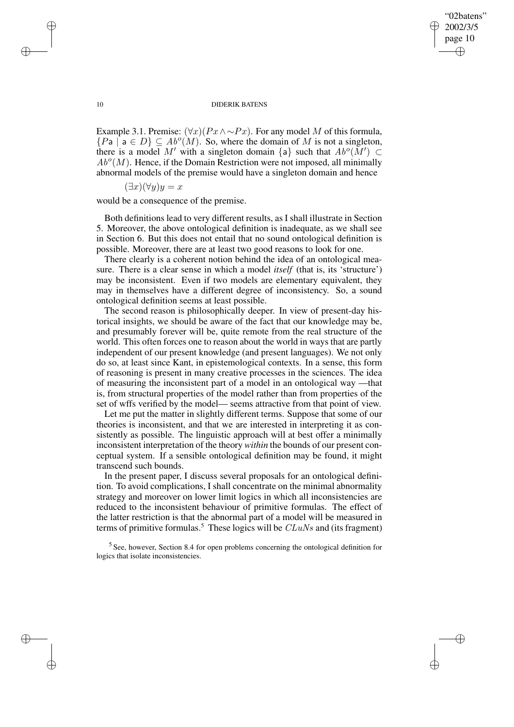✐

### 10 DIDERIK BATENS

Example 3.1. Premise:  $(\forall x)(Px \land \sim Px)$ . For any model M of this formula,  $\{Pa \mid a \in D\} \subseteq Ab^o(M)$ . So, where the domain of M is not a singleton, there is a model M' with a singleton domain {a} such that  $Ab^o(M') \subset$  $Ab<sup>o</sup>(M)$ . Hence, if the Domain Restriction were not imposed, all minimally abnormal models of the premise would have a singleton domain and hence

$$
(\exists x)(\forall y)y = x
$$

would be a consequence of the premise.

Both definitions lead to very different results, as I shall illustrate in Section 5. Moreover, the above ontological definition is inadequate, as we shall see in Section 6. But this does not entail that no sound ontological definition is possible. Moreover, there are at least two good reasons to look for one.

There clearly is a coherent notion behind the idea of an ontological measure. There is a clear sense in which a model *itself* (that is, its 'structure') may be inconsistent. Even if two models are elementary equivalent, they may in themselves have a different degree of inconsistency. So, a sound ontological definition seems at least possible.

The second reason is philosophically deeper. In view of present-day historical insights, we should be aware of the fact that our knowledge may be, and presumably forever will be, quite remote from the real structure of the world. This often forces one to reason about the world in ways that are partly independent of our present knowledge (and present languages). We not only do so, at least since Kant, in epistemological contexts. In a sense, this form of reasoning is present in many creative processes in the sciences. The idea of measuring the inconsistent part of a model in an ontological way —that is, from structural properties of the model rather than from properties of the set of wffs verified by the model— seems attractive from that point of view.

Let me put the matter in slightly different terms. Suppose that some of our theories is inconsistent, and that we are interested in interpreting it as consistently as possible. The linguistic approach will at best offer a minimally inconsistent interpretation of the theory *within* the bounds of our present conceptual system. If a sensible ontological definition may be found, it might transcend such bounds.

In the present paper, I discuss several proposals for an ontological definition. To avoid complications, I shall concentrate on the minimal abnormality strategy and moreover on lower limit logics in which all inconsistencies are reduced to the inconsistent behaviour of primitive formulas. The effect of the latter restriction is that the abnormal part of a model will be measured in terms of primitive formulas.<sup>5</sup> These logics will be  $CLuNs$  and (its fragment)

<sup>5</sup> See, however, Section 8.4 for open problems concerning the ontological definition for logics that isolate inconsistencies.

✐

✐

✐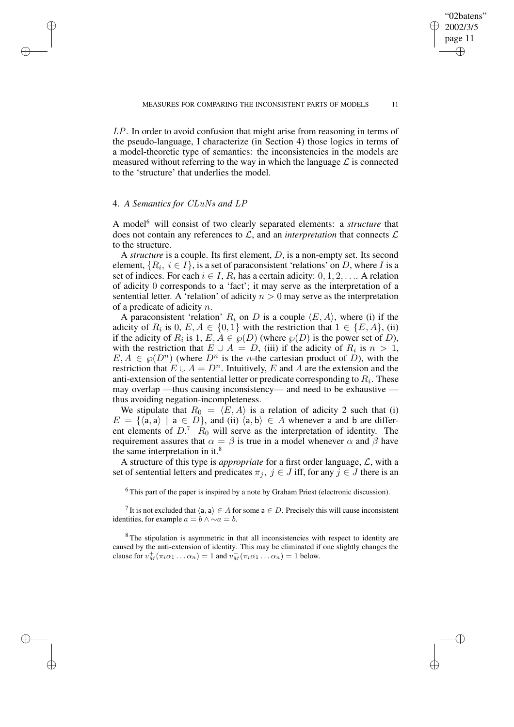LP. In order to avoid confusion that might arise from reasoning in terms of the pseudo-language, I characterize (in Section 4) those logics in terms of a model-theoretic type of semantics: the inconsistencies in the models are measured without referring to the way in which the language  $\mathcal L$  is connected to the 'structure' that underlies the model.

## 4. *A Semantics for* CLuNs *and* LP

✐

✐

✐

✐

A model<sup>6</sup> will consist of two clearly separated elements: a *structure* that does not contain any references to  $\mathcal{L}$ , and an *interpretation* that connects  $\mathcal{L}$ to the structure.

A *structure* is a couple. Its first element, D, is a non-empty set. Its second element,  $\{R_i,\ i\in I\},$  is a set of paraconsistent 'relations' on  $D,$  where  $I$  is a set of indices. For each  $i \in I$ ,  $R_i$  has a certain adicity:  $0, 1, 2, \ldots$ . A relation of adicity 0 corresponds to a 'fact'; it may serve as the interpretation of a sentential letter. A 'relation' of adicity  $n > 0$  may serve as the interpretation of a predicate of adicity n.

A paraconsistent 'relation'  $R_i$  on D is a couple  $\langle E, A \rangle$ , where (i) if the adicity of  $R_i$  is  $0, E, A \in \{0, 1\}$  with the restriction that  $1 \in \{E, A\}$ , (ii) if the adicity of  $R_i$  is  $1, E, A \in \wp(D)$  (where  $\wp(D)$  is the power set of D), with the restriction that  $E \cup A = D$ , (iii) if the adicity of  $R_i$  is  $n > 1$ ,  $E, A \in \mathcal{P}(D^n)$  (where  $D^n$  is the *n*-the cartesian product of D), with the restriction that  $E \cup A = D^n$ . Intuitively, E and A are the extension and the anti-extension of the sentential letter or predicate corresponding to  $R_i.$  These may overlap —thus causing inconsistency— and need to be exhaustive thus avoiding negation-incompleteness.

We stipulate that  $R_0 = \langle E, A \rangle$  is a relation of adicity 2 such that (i)  $E = \{\langle \mathsf{a}, \mathsf{a} \rangle \mid \mathsf{a} \in D\}$ , and (ii)  $\langle \mathsf{a}, \mathsf{b} \rangle \in A$  whenever a and b are different elements of  $D^7$ .  $R_0$  will serve as the interpretation of identity. The requirement assures that  $\alpha = \beta$  is true in a model whenever  $\alpha$  and  $\beta$  have the same interpretation in it.<sup>8</sup>

A structure of this type is *appropriate* for a first order language, L, with a set of sentential letters and predicates  $\pi_j$ ,  $j \in J$  iff, for any  $j \in J$  there is an

 $6$ This part of the paper is inspired by a note by Graham Priest (electronic discussion).

<sup>7</sup> It is not excluded that  $\langle a, a \rangle \in A$  for some  $a \in D$ . Precisely this will cause inconsistent identities, for example  $a = b \land \sim a = b$ .

<sup>8</sup>The stipulation is asymmetric in that all inconsistencies with respect to identity are caused by the anti-extension of identity. This may be eliminated if one slightly changes the clause for  $v_M^+(\pi_i\alpha_1...\alpha_n)=1$  and  $v_M^-(\pi_i\alpha_1...\alpha_n)=1$  below.

"02batens" 2002/3/5 page 11

✐

✐

✐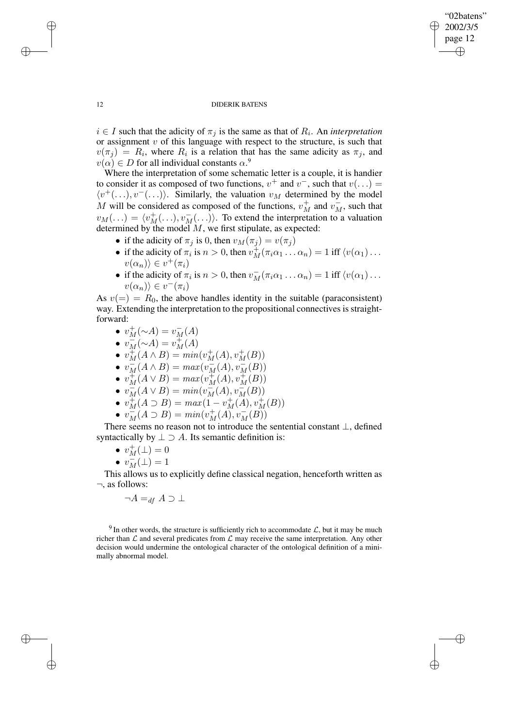✐

### 12 DIDERIK BATENS

 $i \in I$  such that the adicity of  $\pi_j$  is the same as that of  $R_i$ . An *interpretation* or assignment  $v$  of this language with respect to the structure, is such that  $v(\pi_j) = R_i$ , where  $R_i$  is a relation that has the same adicity as  $\pi_j$ , and  $v(\alpha) \in D$  for all individual constants  $\alpha$ .<sup>9</sup>

Where the interpretation of some schematic letter is a couple, it is handier to consider it as composed of two functions,  $v^+$  and  $v^-$ , such that  $v(\ldots) =$  $\langle v^+(\ldots), v^-(\ldots)\rangle$ . Similarly, the valuation  $v_M$  determined by the model M will be considered as composed of the functions,  $v_M^+$  and  $v_M^-$ , such that  $v_M(\ldots) = \langle v_M^+(\ldots), v_M^-(\ldots) \rangle$ . To extend the interpretation to a valuation determined by the model  $M$ , we first stipulate, as expected:

- if the adicity of  $\pi_j$  is 0, then  $v_M(\pi_j) = v(\pi_j)$
- if the adicity of  $\pi_i$  is  $n > 0$ , then  $v_M^+(\pi_i\alpha_1 \dots \alpha_n) = 1$  iff  $\langle v(\alpha_1) \dots \rangle$  $v(\alpha_n)\rangle \in v^+(\pi_i)$
- if the adicity of  $\pi_i$  is  $n > 0$ , then  $v_M^-(\pi_i \alpha_1 \dots \alpha_n) = 1$  iff  $\langle v(\alpha_1) \dots \rangle$  $v(\alpha_n)\rangle \in v^-(\pi_i)$

As  $v(=) = R_0$ , the above handles identity in the suitable (paraconsistent) way. Extending the interpretation to the propositional connectives is straightforward:

- $v_M^+({\sim}A) = v_M^-(A)$
- $v_M^-(\sim A) = v_M^+(A)$
- $v_M^+(A \wedge B) = min(v_M^+(A), v_M^+(B))$
- $v_M^-(A \wedge B) = max(v_M^-(A), v_M^-(B))$
- $v_M^+(A \vee B) = max(v_M^+(A), v_M^+(B))$
- $v_M^-(A \vee B) = min(v_M^-(A), v_M^-(B))$
- $v_M^+(A \supset B) = max(1 v_M^+(A), v_M^+(B))$
- $v_M^-(A \supset B) = min(v_M^+(A), v_M^-(B))$

There seems no reason not to introduce the sentential constant ⊥, defined syntactically by  $\perp \supset A$ . Its semantic definition is:

- $v_M^+(\perp) = 0$
- $v_M^{\text{}}(\perp) = 1$

This allows us to explicitly define classical negation, henceforth written as  $\neg$ , as follows:

 $\neg A =_{df} A \supset \bot$ 

 $9 \text{ In other words, the structure is sufficiently rich to accommodate } \mathcal{L}$ , but it may be much richer than  $\mathcal L$  and several predicates from  $\mathcal L$  may receive the same interpretation. Any other decision would undermine the ontological character of the ontological definition of a minimally abnormal model.

✐

✐

✐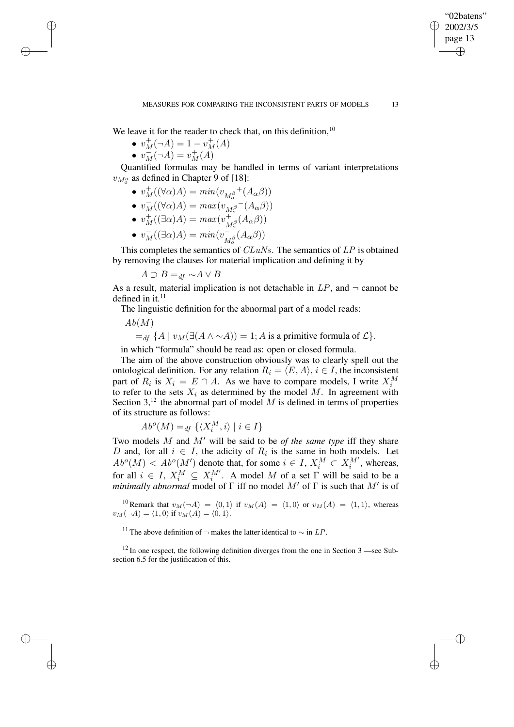We leave it for the reader to check that, on this definition, $10$ 

- $v_M^+(-A) = 1 v_M^+(A)$
- $v_M^{\text{max}}(\neg A) = v_M^+(A)$

✐

✐

✐

✐

Quantified formulas may be handled in terms of variant interpretations  $v_{M_o^a}$  as defined in Chapter 9 of [18]:

- $v_M^+((\forall \alpha)A) = min(v_{M_o^{\beta}}^+(A_\alpha\beta))$
- $v_M^{\pi}((\forall \alpha)A) = max(v_{M_o^{\beta}}^{\alpha}(\overline{A_{\alpha}\beta}))$
- $v_M^{\dagger}((\exists \alpha)A) = max(v_M^+$  $+_{M_o^\beta}(A_\alpha\beta))$
- $v_M^-((\exists \alpha)A) = min(v_M^-)$  $\frac{1}{M_o^\beta}(A_\alpha\beta))$

This completes the semantics of  $CLuNs$ . The semantics of  $LP$  is obtained by removing the clauses for material implication and defining it by

 $A \supset B =_{df} \sim A \vee B$ 

As a result, material implication is not detachable in  $LP$ , and  $\neg$  cannot be defined in it. $11$ 

The linguistic definition for the abnormal part of a model reads:

 $Ab(M)$ 

 $=_{df}$  {A |  $v_M(\exists (A \land \sim A)) = 1$ ; A is a primitive formula of  $\mathcal{L}$  }.

in which "formula" should be read as: open or closed formula.

The aim of the above construction obviously was to clearly spell out the ontological definition. For any relation  $R_i = \langle E, A \rangle$ ,  $i \in I$ , the inconsistent part of  $R_i$  is  $X_i = E \cap A$ . As we have to compare models, I write  $X_i^M$ to refer to the sets  $X_i$  as determined by the model M. In agreement with Section  $3<sup>12</sup>$ , the abnormal part of model M is defined in terms of properties of its structure as follows:

$$
Ab^o(M) =_{df} \{ \langle X_i^M, i \rangle \mid i \in I \}
$$

Two models  $M$  and  $M'$  will be said to be *of the same type* iff they share D and, for all  $i \in I$ , the adicity of  $R_i$  is the same in both models. Let  $Ab^o(M) < Ab^o(M')$  denote that, for some  $i \in I$ ,  $X_i^M \subset X_i^{M'}$ , whereas, for all  $i \in I$ ,  $X_i^M \subseteq X_i^{M'}$ . A model M of a set  $\Gamma$  will be said to be a *minimally abnormal* model of  $\Gamma$  iff no model  $M'$  of  $\Gamma$  is such that  $M'$  is of

<sup>10</sup> Remark that  $v_M(\neg A) = \langle 0, 1 \rangle$  if  $v_M(A) = \langle 1, 0 \rangle$  or  $v_M(A) = \langle 1, 1 \rangle$ , whereas  $v_M(\neg A) = \langle 1, 0 \rangle$  if  $v_M(A) = \langle 0, 1 \rangle$ .

<sup>11</sup> The above definition of  $\neg$  makes the latter identical to  $\sim$  in LP.

 $12$  In one respect, the following definition diverges from the one in Section 3 —see Subsection 6.5 for the justification of this.

"02batens" 2002/3/5 page 13

✐

✐

✐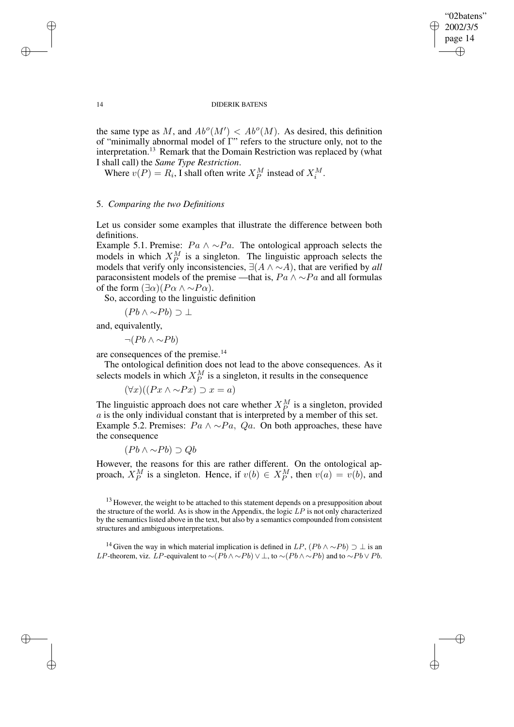✐

#### 14 DIDERIK BATENS

the same type as M, and  $Ab^o(M') < Ab^o(M)$ . As desired, this definition of "minimally abnormal model of Γ" refers to the structure only, not to the interpretation.<sup>13</sup> Remark that the Domain Restriction was replaced by (what I shall call) the *Same Type Restriction*.

Where  $v(P) = R_i$ , I shall often write  $X_P^M$  instead of  $X_i^M$ .

# 5. *Comparing the two Definitions*

Let us consider some examples that illustrate the difference between both definitions.

Example 5.1. Premise:  $Pa \wedge \neg Pa$ . The ontological approach selects the models in which  $X_P^M$  is a singleton. The linguistic approach selects the models that verify only inconsistencies, ∃(A ∧ ∼A), that are verified by *all* paraconsistent models of the premise —that is,  $Pa \wedge \neg Pa$  and all formulas of the form  $(\exists \alpha)(P\alpha \wedge \neg P\alpha)$ .

So, according to the linguistic definition

 $(Pb \wedge \sim Pb) \supset \perp$ 

and, equivalently,

 $\neg (Pb \land \sim Pb)$ 

are consequences of the premise.<sup>14</sup>

The ontological definition does not lead to the above consequences. As it selects models in which  $X_P^M$  is a singleton, it results in the consequence

 $(\forall x)((Px \land \sim Px) \supset x = a)$ 

The linguistic approach does not care whether  $X_P^M$  is a singleton, provided  $a$  is the only individual constant that is interpreted by a member of this set. Example 5.2. Premises:  $Pa \wedge \neg Pa$ ,  $Qa$ . On both approaches, these have the consequence

 $(Pb \wedge \neg Pb) \supset Qb$ 

However, the reasons for this are rather different. On the ontological approach,  $X_P^M$  is a singleton. Hence, if  $v(b) \in X_P^M$ , then  $v(a) = v(b)$ , and

 $13$  However, the weight to be attached to this statement depends on a presupposition about the structure of the world. As is show in the Appendix, the logic  $LP$  is not only characterized by the semantics listed above in the text, but also by a semantics compounded from consistent structures and ambiguous interpretations.

<sup>14</sup> Given the way in which material implication is defined in LP,  $(Pb \wedge \sim Pb) \supset \bot$  is an *LP*-theorem, viz. *LP*-equivalent to ∼( $P\overline{b} \wedge \sim P\overline{b}$ )  $\vee \perp$ , to ∼( $P\overline{b} \wedge \sim P\overline{b}$ ) and to ∼ $P\overline{b} \vee P\overline{b}$ .

✐

✐

✐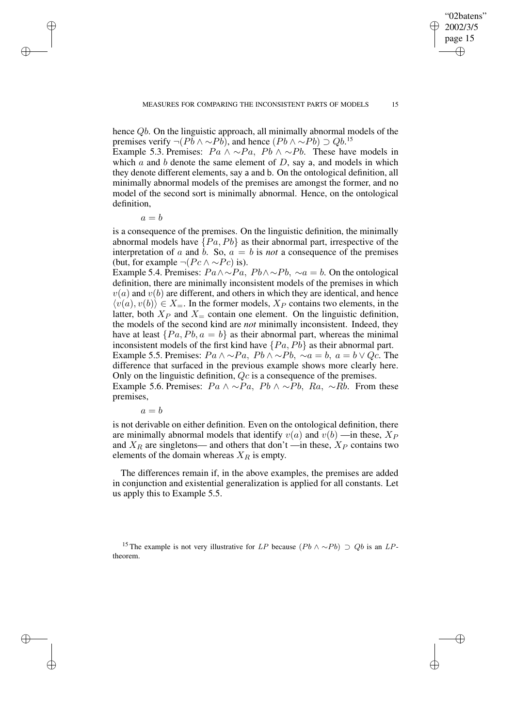"02batens" 2002/3/5 page 15

✐

✐

✐

✐

hence Qb. On the linguistic approach, all minimally abnormal models of the premises verify  $\neg (Pb \land \sim Pb)$ , and hence  $(Pb \land \sim Pb) \supset Qb$ .<sup>15</sup>

Example 5.3. Premises:  $Pa \wedge \neg Pa$ ,  $Pb \wedge \neg Pb$ . These have models in which  $\alpha$  and  $\delta$  denote the same element of  $D$ , say a, and models in which they denote different elements, say a and b. On the ontological definition, all minimally abnormal models of the premises are amongst the former, and no model of the second sort is minimally abnormal. Hence, on the ontological definition,

 $a = b$ 

 $\rightarrow$ 

 $\rightarrow$ 

✐

✐

is a consequence of the premises. On the linguistic definition, the minimally abnormal models have  $\{Pa, Pb\}$  as their abnormal part, irrespective of the interpretation of a and b. So,  $a = b$  is *not* a consequence of the premises (but, for example  $\neg (Pc \land \neg Pc)$  is).

Example 5.4. Premises:  $Pa \wedge \neg Pa$ ,  $Pb \wedge \neg Pb$ ,  $\neg a = b$ . On the ontological definition, there are minimally inconsistent models of the premises in which  $v(a)$  and  $v(b)$  are different, and others in which they are identical, and hence  $\langle v(a), v(b)\rangle \in X_{\equiv}$ . In the former models,  $X_P$  contains two elements, in the latter, both  $X_P$  and  $X_{\pm}$  contain one element. On the linguistic definition, the models of the second kind are *not* minimally inconsistent. Indeed, they have at least  $\{Pa, Pb, a = b\}$  as their abnormal part, whereas the minimal inconsistent models of the first kind have  $\{Pa, Pb\}$  as their abnormal part. Example 5.5. Premises:  $Pa \wedge \neg Pa$ ,  $Pb \wedge \neg Pb$ ,  $\neg a = b$ ,  $a = b \vee Qc$ . The

difference that surfaced in the previous example shows more clearly here. Only on the linguistic definition, Qc is a consequence of the premises.

Example 5.6. Premises:  $Pa \wedge \neg Pa$ ,  $Pb \wedge \neg Pb$ ,  $Ra$ ,  $\neg Rb$ . From these premises,

 $a = b$ 

is not derivable on either definition. Even on the ontological definition, there are minimally abnormal models that identify  $v(a)$  and  $v(b)$  —in these,  $X_P$ and  $X_R$  are singletons— and others that don't —in these,  $X_P$  contains two elements of the domain whereas  $X_R$  is empty.

The differences remain if, in the above examples, the premises are added in conjunction and existential generalization is applied for all constants. Let us apply this to Example 5.5.

<sup>15</sup> The example is not very illustrative for LP because  $(Pb \wedge \sim Pb) \supset Qb$  is an LPtheorem.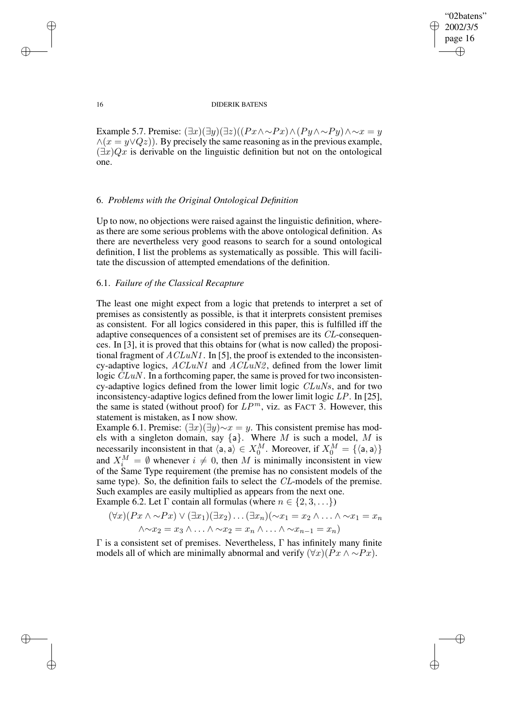✐

### 16 DIDERIK BATENS

Example 5.7. Premise:  $(\exists x)(\exists y)(\exists z)((Px \land \sim Px) \land (Py \land \sim Py) \land \sim x = y$  $\wedge$ ( $x = y \vee Qz$ ). By precisely the same reasoning as in the previous example,  $(\exists x)Qx$  is derivable on the linguistic definition but not on the ontological one.

## 6. *Problems with the Original Ontological Definition*

Up to now, no objections were raised against the linguistic definition, whereas there are some serious problems with the above ontological definition. As there are nevertheless very good reasons to search for a sound ontological definition, I list the problems as systematically as possible. This will facilitate the discussion of attempted emendations of the definition.

## 6.1. *Failure of the Classical Recapture*

The least one might expect from a logic that pretends to interpret a set of premises as consistently as possible, is that it interprets consistent premises as consistent. For all logics considered in this paper, this is fulfilled iff the adaptive consequences of a consistent set of premises are its CL-consequences. In [3], it is proved that this obtains for (what is now called) the propositional fragment of  $ACLuN1$ . In [5], the proof is extended to the inconsistency-adaptive logics,  $ACLuN1$  and  $ACLuN2$ , defined from the lower limit logic  $CLuN$ . In a forthcoming paper, the same is proved for two inconsistency-adaptive logics defined from the lower limit logic CLuNs, and for two inconsistency-adaptive logics defined from the lower limit logic LP. In [25], the same is stated (without proof) for  $LP^m$ , viz. as FACT 3. However, this statement is mistaken, as I now show.

Example 6.1. Premise:  $(\exists x)(\exists y) \sim x = y$ . This consistent premise has models with a singleton domain, say  $\{a\}$ . Where M is such a model, M is necessarily inconsistent in that  $\langle a, a \rangle \in X_0^M$ . Moreover, if  $X_0^M = {\langle a, a \rangle}$ and  $X_i^M = \emptyset$  whenever  $i \neq 0$ , then M is minimally inconsistent in view of the Same Type requirement (the premise has no consistent models of the same type). So, the definition fails to select the CL-models of the premise. Such examples are easily multiplied as appears from the next one. Example 6.2. Let  $\Gamma$  contain all formulas (where  $n \in \{2, 3, \ldots\}$ )

$$
(\forall x)(Px \land \sim Px) \lor (\exists x_1)(\exists x_2) \dots (\exists x_n)(\sim x_1 = x_2 \land \dots \land \sim x_1 = x_n
$$
  

$$
\land \sim x_2 = x_3 \land \dots \land \sim x_2 = x_n \land \dots \land \sim x_{n-1} = x_n)
$$

 $Γ$  is a consistent set of premises. Nevertheless,  $Γ$  has infinitely many finite models all of which are minimally abnormal and verify  $(\forall x)(Px \land \sim Px)$ .

 $\rightarrow$ 

 $\rightarrow$ 

✐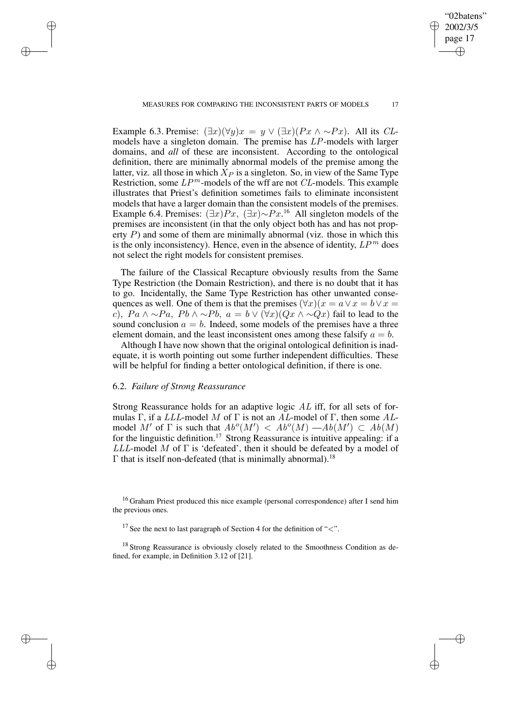Example 6.3. Premise:  $(\exists x)(\forall y)x = y \lor (\exists x)(Px \land \sim Px)$ . All its *CL*models have a singleton domain. The premise has LP-models with larger domains, and *all* of these are inconsistent. According to the ontological definition, there are minimally abnormal models of the premise among the latter, viz. all those in which  $X_P$  is a singleton. So, in view of the Same Type Restriction, some  $LP^m$ -models of the wff are not  $CL$ -models. This example illustrates that Priest's definition sometimes fails to eliminate inconsistent models that have a larger domain than the consistent models of the premises. Example 6.4. Premises:  $(\exists x)Px$ ,  $(\exists x)\sim Px$ .<sup>16</sup> All singleton models of the premises are inconsistent (in that the only object both has and has not property  $P$ ) and some of them are minimally abnormal (viz. those in which this is the only inconsistency). Hence, even in the absence of identity,  $LP^m$  does not select the right models for consistent premises.

The failure of the Classical Recapture obviously results from the Same Type Restriction (the Domain Restriction), and there is no doubt that it has to go. Incidentally, the Same Type Restriction has other unwanted consequences as well. One of them is that the premises  $(\forall x)(x = a \lor x = b \lor x = b)$ c),  $Pa \wedge \sim Pa$ ,  $Pb \wedge \sim Pb$ ,  $a = b \vee (\forall x)(Qx \wedge \sim Qx)$  fail to lead to the sound conclusion  $a = b$ . Indeed, some models of the premises have a three element domain, and the least inconsistent ones among these falsify  $a = b$ .

Although I have now shown that the original ontological definition is inadequate, it is worth pointing out some further independent difficulties. These will be helpful for finding a better ontological definition, if there is one.

## 6.2. *Failure of Strong Reassurance*

 $\rightarrow$ 

 $\rightarrow$ 

✐

✐

Strong Reassurance holds for an adaptive logic  $AL$  iff, for all sets of formulas Γ, if a LLL-model M of Γ is not an AL-model of Γ, then some ALmodel M' of  $\Gamma$  is such that  $Ab^o(M') < Ab^o(M) - Ab(M') \subset Ab(M)$ for the linguistic definition.<sup>17</sup> Strong Reassurance is intuitive appealing: if a  $LLL$ -model M of  $\Gamma$  is 'defeated', then it should be defeated by a model of  $Γ$  that is itself non-defeated (that is minimally abnormal).<sup>18</sup>

<sup>16</sup> Graham Priest produced this nice example (personal correspondence) after I send him the previous ones.

<sup>17</sup> See the next to last paragraph of Section 4 for the definition of " $\lt$ ".

<sup>18</sup> Strong Reassurance is obviously closely related to the Smoothness Condition as defined, for example, in Definition 3.12 of [21].

"02batens" 2002/3/5 page 17

✐

✐

✐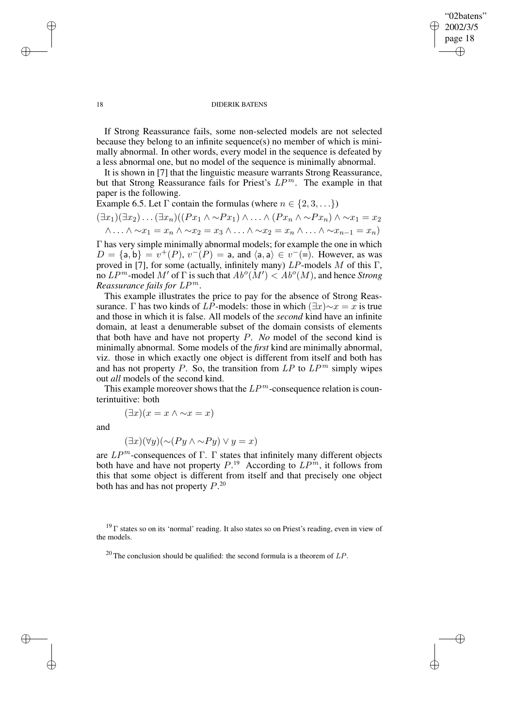✐

### 18 DIDERIK BATENS

If Strong Reassurance fails, some non-selected models are not selected because they belong to an infinite sequence(s) no member of which is minimally abnormal. In other words, every model in the sequence is defeated by a less abnormal one, but no model of the sequence is minimally abnormal.

It is shown in [7] that the linguistic measure warrants Strong Reassurance, but that Strong Reassurance fails for Priest's  $LP^m$ . The example in that paper is the following.

Example 6.5. Let  $\Gamma$  contain the formulas (where  $n \in \{2, 3, \ldots\}$ )

$$
(\exists x_1)(\exists x_2)\dots(\exists x_n)((Px_1 \land \sim Px_1) \land \dots \land (Px_n \land \sim Px_n) \land \sim x_1 = x_2
$$
  

$$
\land \dots \land \sim x_1 = x_n \land \sim x_2 = x_3 \land \dots \land \sim x_2 = x_n \land \dots \land \sim x_{n-1} = x_n)
$$

Γ has very simple minimally abnormal models; for example the one in which  $D = \{a, b\} = v^+(P), v^-(P) = a$ , and  $\langle a, a \rangle \in v^-(=)$ . However, as was proved in [7], for some (actually, infinitely many)  $LP$ -models M of this Γ, no  $LP^m$ -model M' of  $\Gamma$  is such that  $Ab^o(M') < Ab^o(M)$ , and hence *Strong Reassurance fails for* LP <sup>m</sup>.

This example illustrates the price to pay for the absence of Strong Reassurance. Γ has two kinds of LP-models: those in which  $(\exists x) \sim x = x$  is true and those in which it is false. All models of the *second* kind have an infinite domain, at least a denumerable subset of the domain consists of elements that both have and have not property P. *No* model of the second kind is minimally abnormal. Some models of the *first* kind are minimally abnormal, viz. those in which exactly one object is different from itself and both has and has not property P. So, the transition from  $LP$  to  $LP^m$  simply wipes out *all* models of the second kind.

This example moreover shows that the  $LP^m$ -consequence relation is counterintuitive: both

$$
(\exists x)(x = x \land \sim x = x)
$$

and

 $\rightarrow$ 

✐

$$
(\exists x)(\forall y)(\sim(Py \land \sim Py) \lor y = x)
$$

are  $LP^m$ -consequences of Γ. Γ states that infinitely many different objects both have and have not property  $P^{19}$ . According to  $LP^m$ , it follows from this that some object is different from itself and that precisely one object both has and has not property  $P^{20}$ .

 $19 \Gamma$  states so on its 'normal' reading. It also states so on Priest's reading, even in view of the models.

<sup>20</sup> The conclusion should be qualified: the second formula is a theorem of  $LP$ .

 $\rightarrow$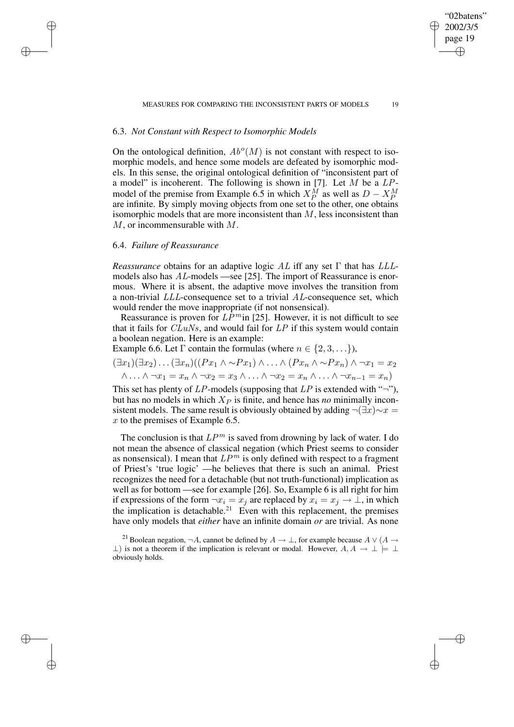"02batens" 2002/3/5 page 19

✐

✐

✐

✐

# 6.3. *Not Constant with Respect to Isomorphic Models*

On the ontological definition,  $Ab^o(M)$  is not constant with respect to isomorphic models, and hence some models are defeated by isomorphic models. In this sense, the original ontological definition of "inconsistent part of a model" is incoherent. The following is shown in [7]. Let  $M$  be a  $LP$ model of the premise from Example 6.5 in which  $X_P^M$  as well as  $D - X_P^M$ are infinite. By simply moving objects from one set to the other, one obtains isomorphic models that are more inconsistent than  $M$ , less inconsistent than  $M$ , or incommensurable with  $M$ .

## 6.4. *Failure of Reassurance*

 $\rightarrow$ 

 $\rightarrow$ 

✐

✐

*Reassurance* obtains for an adaptive logic AL iff any set Γ that has LLLmodels also has  $AL$ -models —see [25]. The import of Reassurance is enormous. Where it is absent, the adaptive move involves the transition from a non-trivial LLL-consequence set to a trivial AL-consequence set, which would render the move inappropriate (if not nonsensical).

Reassurance is proven for  $L\tilde{P}^m$  in [25]. However, it is not difficult to see that it fails for  $C\overline{L}uNs$ , and would fail for  $LP$  if this system would contain a boolean negation. Here is an example:

Example 6.6. Let  $\Gamma$  contain the formulas (where  $n \in \{2, 3, \ldots\}$ ),

$$
(\exists x_1)(\exists x_2)\dots(\exists x_n)((Px_1 \land \sim Px_1) \land \dots \land (Px_n \land \sim Px_n) \land \neg x_1 = x_2
$$
  

$$
\land \dots \land \neg x_1 = x_n \land \neg x_2 = x_3 \land \dots \land \neg x_2 = x_n \land \dots \land \neg x_{n-1} = x_n)
$$

This set has plenty of  $LP$ -models (supposing that  $LP$  is extended with "¬"), but has no models in which  $X_P$  is finite, and hence has *no* minimally inconsistent models. The same result is obviously obtained by adding  $\neg(\exists x)\neg x =$  $x$  to the premises of Example 6.5.

The conclusion is that  $LP^m$  is saved from drowning by lack of water. I do not mean the absence of classical negation (which Priest seems to consider as nonsensical). I mean that  $LP^m$  is only defined with respect to a fragment of Priest's 'true logic' —he believes that there is such an animal. Priest recognizes the need for a detachable (but not truth-functional) implication as well as for bottom —see for example [26]. So, Example 6 is all right for him if expressions of the form  $\neg x_i = x_j$  are replaced by  $x_i = x_j \rightarrow \bot$ , in which the implication is detachable.<sup>21</sup> Even with this replacement, the premises have only models that *either* have an infinite domain *or* are trivial. As none

<sup>21</sup> Boolean negation,  $\neg A$ , cannot be defined by  $A \to \bot$ , for example because  $A \vee (A \to \bot)$  $\perp$ ) is not a theorem if the implication is relevant or modal. However,  $A, A \rightarrow \perp \models \perp$ obviously holds.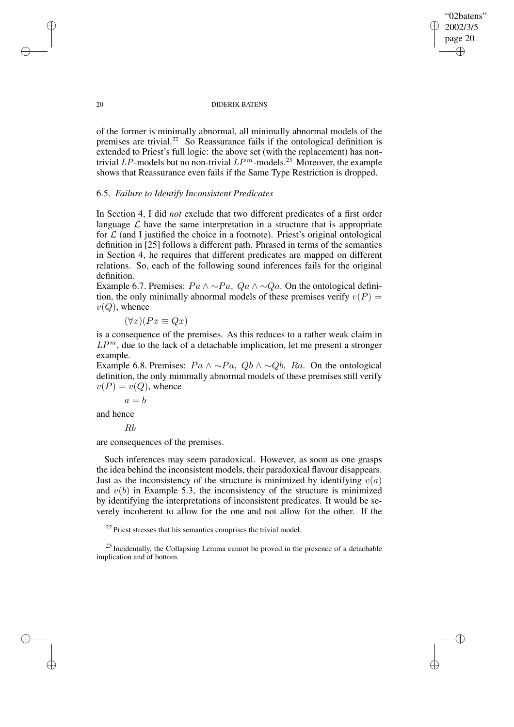"02batens" 2002/3/5 page 20

✐

✐

✐

✐

of the former is minimally abnormal, all minimally abnormal models of the premises are trivial.<sup>22</sup> So Reassurance fails if the ontological definition is extended to Priest's full logic: the above set (with the replacement) has nontrivial LP-models but no non-trivial  $LP^m$ -models.<sup>23</sup> Moreover, the example shows that Reassurance even fails if the Same Type Restriction is dropped.

### 6.5. *Failure to Identify Inconsistent Predicates*

In Section 4, I did *not* exclude that two different predicates of a first order language  $\mathcal L$  have the same interpretation in a structure that is appropriate for  $\mathcal L$  (and I justified the choice in a footnote). Priest's original ontological definition in [25] follows a different path. Phrased in terms of the semantics in Section 4, he requires that different predicates are mapped on different relations. So, each of the following sound inferences fails for the original definition.

Example 6.7. Premises:  $Pa \wedge \neg Pa$ ,  $Qa \wedge \neg Qa$ . On the ontological definition, the only minimally abnormal models of these premises verify  $v(P)$  =  $v(Q)$ , whence

$$
(\forall x)(Px \equiv Qx)
$$

is a consequence of the premises. As this reduces to a rather weak claim in  $LP^m$ , due to the lack of a detachable implication, let me present a stronger example.

Example 6.8. Premises:  $Pa \wedge \neg Pa$ ,  $Qb \wedge \neg Qb$ ,  $Ra$ . On the ontological definition, the only minimally abnormal models of these premises still verify  $v(P) = v(Q)$ , whence

 $a = b$ 

and hence

Rb

are consequences of the premises.

Such inferences may seem paradoxical. However, as soon as one grasps the idea behind the inconsistent models, their paradoxical flavour disappears. Just as the inconsistency of the structure is minimized by identifying  $v(a)$ and  $v(b)$  in Example 5.3, the inconsistency of the structure is minimized by identifying the interpretations of inconsistent predicates. It would be severely incoherent to allow for the one and not allow for the other. If the

<sup>22</sup> Priest stresses that his semantics comprises the trivial model.

<sup>23</sup> Incidentally, the Collapsing Lemma cannot be proved in the presence of a detachable implication and of bottom.

 $\rightarrow$ 

 $\rightarrow$ 

✐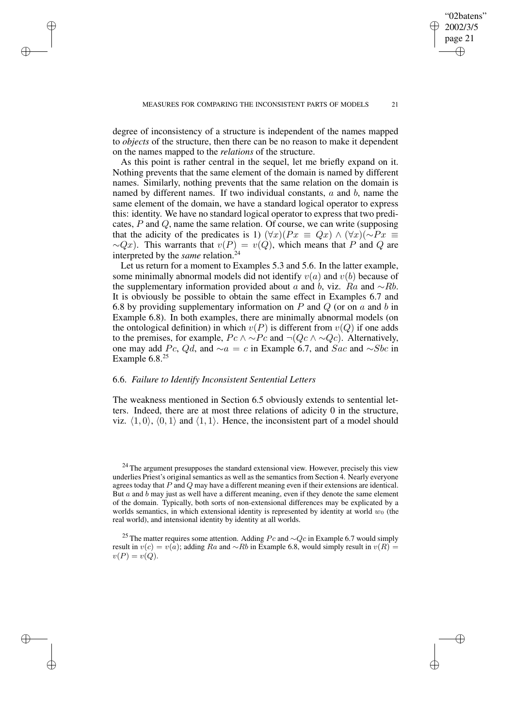degree of inconsistency of a structure is independent of the names mapped to *objects* of the structure, then there can be no reason to make it dependent on the names mapped to the *relations* of the structure.

 $\rightarrow$ 

 $\rightarrow$ 

✐

✐

As this point is rather central in the sequel, let me briefly expand on it. Nothing prevents that the same element of the domain is named by different names. Similarly, nothing prevents that the same relation on the domain is named by different names. If two individual constants,  $a$  and  $b$ , name the same element of the domain, we have a standard logical operator to express this: identity. We have no standard logical operator to express that two predicates, P and Q, name the same relation. Of course, we can write (supposing that the adicity of the predicates is 1)  $(\forall x)(Px \equiv Qx) \land (\forall x)(\sim Px \equiv$  $\sim Qx$ ). This warrants that  $v(P) = v(Q)$ , which means that P and Q are interpreted by the *same* relation.<sup>24</sup>

Let us return for a moment to Examples 5.3 and 5.6. In the latter example, some minimally abnormal models did not identify  $v(a)$  and  $v(b)$  because of the supplementary information provided about a and b, viz. Ra and  $~\sim$ Rb. It is obviously be possible to obtain the same effect in Examples 6.7 and 6.8 by providing supplementary information on  $P$  and  $Q$  (or on  $a$  and  $b$  in Example 6.8). In both examples, there are minimally abnormal models (on the ontological definition) in which  $v(P)$  is different from  $v(Q)$  if one adds to the premises, for example,  $Pc \wedge \neg Pc$  and  $\neg (Qc \wedge \neg Qc)$ . Alternatively, one may add Pc, Qd, and  $∼a = c$  in Example 6.7, and Sac and  $∼Sbc$  in Example  $6.8^{25}$ 

### 6.6. *Failure to Identify Inconsistent Sentential Letters*

The weakness mentioned in Section 6.5 obviously extends to sentential letters. Indeed, there are at most three relations of adicity 0 in the structure, viz.  $\langle 1, 0 \rangle$ ,  $\langle 0, 1 \rangle$  and  $\langle 1, 1 \rangle$ . Hence, the inconsistent part of a model should

<sup>25</sup> The matter requires some attention. Adding  $Pc$  and  $\sim$ Qc in Example 6.7 would simply result in  $v(c) = v(a)$ ; adding Ra and ∼Rb in Example 6.8, would simply result in  $v(R)$  =  $v(P) = v(Q).$ 

"02batens" 2002/3/5 page 21

✐

✐

✐

 $24$  The argument presupposes the standard extensional view. However, precisely this view underlies Priest's original semantics as well as the semantics from Section 4. Nearly everyone agrees today that  $P$  and  $Q$  may have a different meaning even if their extensions are identical. But  $a$  and  $b$  may just as well have a different meaning, even if they denote the same element of the domain. Typically, both sorts of non-extensional differences may be explicated by a worlds semantics, in which extensional identity is represented by identity at world  $w_0$  (the real world), and intensional identity by identity at all worlds.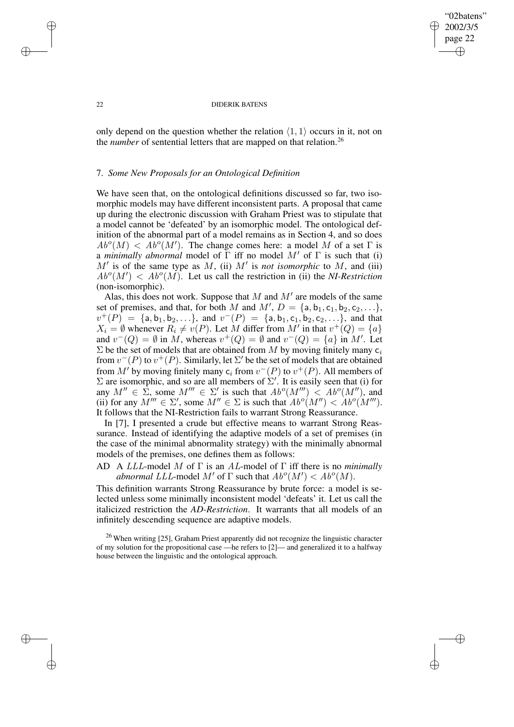"02batens" 2002/3/5 page 22 ✐ ✐

✐

✐

### 22 DIDERIK BATENS

only depend on the question whether the relation  $\langle 1, 1 \rangle$  occurs in it, not on the *number* of sentential letters that are mapped on that relation.<sup>26</sup>

### 7. *Some New Proposals for an Ontological Definition*

We have seen that, on the ontological definitions discussed so far, two isomorphic models may have different inconsistent parts. A proposal that came up during the electronic discussion with Graham Priest was to stipulate that a model cannot be 'defeated' by an isomorphic model. The ontological definition of the abnormal part of a model remains as in Section 4, and so does  $Ab^o(M) < Ab^o(M')$ . The change comes here: a model M of a set  $\Gamma$  is a *minimally abnormal* model of  $\Gamma$  iff no model  $M'$  of  $\Gamma$  is such that (i)  $M'$  is of the same type as M, (ii)  $M'$  is *not isomorphic* to M, and (iii)  $Ab^o(M') < Ab^o(M)$ . Let us call the restriction in (ii) the *NI-Restriction* (non-isomorphic).

Alas, this does not work. Suppose that  $M$  and  $M'$  are models of the same set of premises, and that, for both M and  $M'$ ,  $D = \{a, b_1, c_1, b_2, c_2, \ldots\}$ ,  $v^+(P) = \{a, b_1, b_2, \ldots\}$ , and  $v^-(P) = \{a, b_1, c_1, b_2, c_2, \ldots\}$ , and that  $X_i = \emptyset$  whenever  $R_i \neq v(P)$ . Let M differ from M' in that  $v^+(Q) = \{a\}$ and  $v^-(Q) = \emptyset$  in M, whereas  $v^+(Q) = \emptyset$  and  $v^-(Q) = \{a\}$  in M'. Let  $\Sigma$  be the set of models that are obtained from M by moving finitely many  $c_i$ from  $v^-(P)$  to  $v^+(P)$ . Similarly, let  $\Sigma'$  be the set of models that are obtained from  $M'$  by moving finitely many  $c_i$  from  $v^-(P)$  to  $v^+(P)$ . All members of  $\Sigma$  are isomorphic, and so are all members of  $\Sigma'$ . It is easily seen that (i) for any  $M'' \in \Sigma$ , some  $M''' \in \Sigma'$  is such that  $Ab^o(M''') < Ab^o(M'')$ , and (ii) for any  $M''' \in \Sigma'$ , some  $M'' \in \Sigma$  is such that  $Ab^o(M'') < Ab^o(M''')$ . It follows that the NI-Restriction fails to warrant Strong Reassurance.

In [7], I presented a crude but effective means to warrant Strong Reassurance. Instead of identifying the adaptive models of a set of premises (in the case of the minimal abnormality strategy) with the minimally abnormal models of the premises, one defines them as follows:

# AD A LLL-model M of Γ is an AL-model of Γ iff there is no *minimally abnormal LLL*-model  $M'$  of  $\Gamma$  such that  $Ab^o(M') < Ab^o(M)$ .

This definition warrants Strong Reassurance by brute force: a model is selected unless some minimally inconsistent model 'defeats' it. Let us call the italicized restriction the *AD-Restriction*. It warrants that all models of an infinitely descending sequence are adaptive models.

<sup>26</sup> When writing [25], Graham Priest apparently did not recognize the linguistic character of my solution for the propositional case —he refers to [2]— and generalized it to a halfway house between the linguistic and the ontological approach.

✐

✐

✐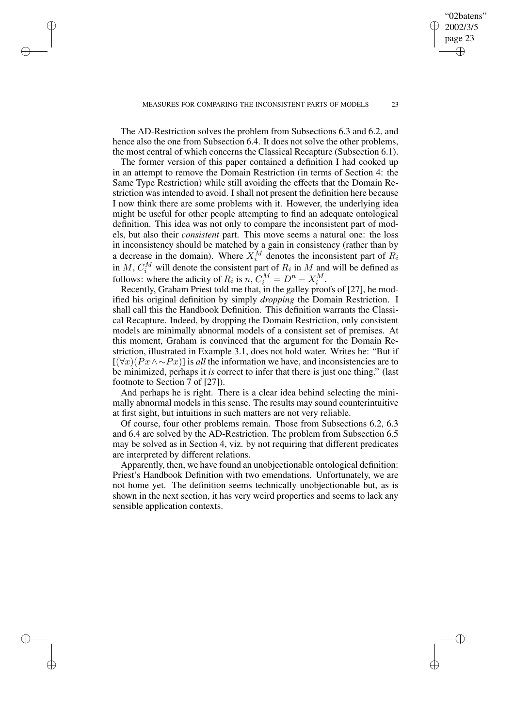MEASURES FOR COMPARING THE INCONSISTENT PARTS OF MODELS 23

"02batens" 2002/3/5 page 23

✐

✐

✐

✐

The AD-Restriction solves the problem from Subsections 6.3 and 6.2, and hence also the one from Subsection 6.4. It does not solve the other problems, the most central of which concerns the Classical Recapture (Subsection 6.1).

✐

✐

✐

✐

The former version of this paper contained a definition I had cooked up in an attempt to remove the Domain Restriction (in terms of Section 4: the Same Type Restriction) while still avoiding the effects that the Domain Restriction was intended to avoid. I shall not present the definition here because I now think there are some problems with it. However, the underlying idea might be useful for other people attempting to find an adequate ontological definition. This idea was not only to compare the inconsistent part of models, but also their *consistent* part. This move seems a natural one: the loss in inconsistency should be matched by a gain in consistency (rather than by a decrease in the domain). Where  $X_i^M$  denotes the inconsistent part of  $R_i$ in M,  $C_i^M$  will denote the consistent part of  $R_i$  in M and will be defined as follows: where the adicity of  $R_i$  is  $n, C_i^M = D^n - X_i^M$ .

Recently, Graham Priest told me that, in the galley proofs of [27], he modified his original definition by simply *dropping* the Domain Restriction. I shall call this the Handbook Definition. This definition warrants the Classical Recapture. Indeed, by dropping the Domain Restriction, only consistent models are minimally abnormal models of a consistent set of premises. At this moment, Graham is convinced that the argument for the Domain Restriction, illustrated in Example 3.1, does not hold water. Writes he: "But if [(∀x)(Px∧∼Px)] is *all* the information we have, and inconsistencies are to be minimized, perhaps it *is* correct to infer that there is just one thing." (last footnote to Section 7 of [27]).

And perhaps he is right. There is a clear idea behind selecting the minimally abnormal models in this sense. The results may sound counterintuitive at first sight, but intuitions in such matters are not very reliable.

Of course, four other problems remain. Those from Subsections 6.2, 6.3 and 6.4 are solved by the AD-Restriction. The problem from Subsection 6.5 may be solved as in Section 4, viz. by not requiring that different predicates are interpreted by different relations.

Apparently, then, we have found an unobjectionable ontological definition: Priest's Handbook Definition with two emendations. Unfortunately, we are not home yet. The definition seems technically unobjectionable but, as is shown in the next section, it has very weird properties and seems to lack any sensible application contexts.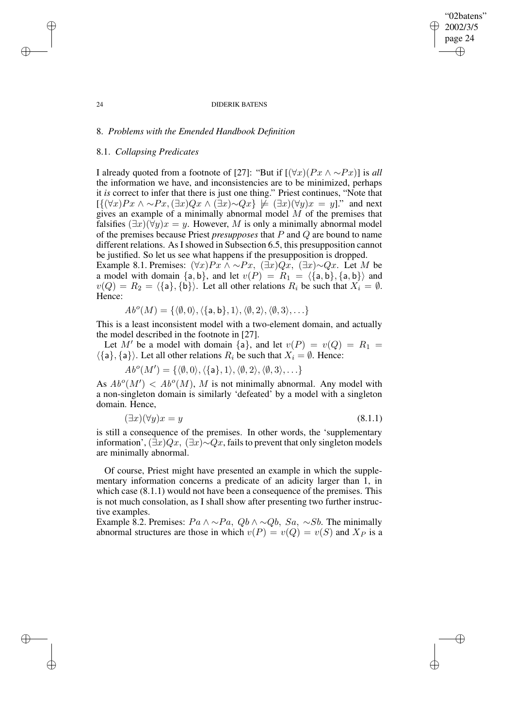"02batens" 2002/3/5 page 24

✐

✐

✐

✐

# 8. *Problems with the Emended Handbook Definition*

### 8.1. *Collapsing Predicates*

I already quoted from a footnote of [27]: "But if  $[(\forall x)(Px \land \sim Px)]$  is *all* the information we have, and inconsistencies are to be minimized, perhaps it *is* correct to infer that there is just one thing." Priest continues, "Note that  $[\{(\forall x)Px \land \sim Px, (\exists x)Qx \land (\exists x) \sim Qx\} \not\models (\exists x)(\forall y)x = y]$ ." and next gives an example of a minimally abnormal model  $\overline{M}$  of the premises that falsifies  $(\exists x)(\forall y)x = y$ . However, M is only a minimally abnormal model of the premises because Priest *presupposes* that P and Q are bound to name different relations. As I showed in Subsection 6.5, this presupposition cannot be justified. So let us see what happens if the presupposition is dropped.

Example 8.1. Premises:  $(\forall x)Px \land \sim Px$ ,  $(\exists x)Qx$ ,  $(\exists x) \sim Qx$ . Let M be a model with domain  $\{a, b\}$ , and let  $v(P) = R_1 = \langle \{a, b\}, \{a, b\} \rangle$  and  $v(Q) = R_2 = \langle \{a\}, \{b\} \rangle$ . Let all other relations  $R_i$  be such that  $X_i = \emptyset$ . Hence:

$$
Abo(M) = \{ \langle \emptyset, 0 \rangle, \langle \{ \mathsf{a}, \mathsf{b} \}, 1 \rangle, \langle \emptyset, 2 \rangle, \langle \emptyset, 3 \rangle, \ldots \}
$$

This is a least inconsistent model with a two-element domain, and actually the model described in the footnote in [27].

Let M' be a model with domain  $\{a\}$ , and let  $v(P) = v(Q) = R_1$  $\langle \{a\}, \{a\} \rangle$ . Let all other relations  $R_i$  be such that  $X_i = \emptyset$ . Hence:

$$
Abo(M') = \{ \langle \emptyset, 0 \rangle, \langle \{ \mathsf{a} \}, 1 \rangle, \langle \emptyset, 2 \rangle, \langle \emptyset, 3 \rangle, \ldots \}
$$

As  $Ab^o(M') < Ab^o(M)$ , M is not minimally abnormal. Any model with a non-singleton domain is similarly 'defeated' by a model with a singleton domain. Hence,

$$
(\exists x)(\forall y)x = y \tag{8.1.1}
$$

is still a consequence of the premises. In other words, the 'supplementary information',  $(\exists x)Qx$ ,  $(\exists x)\sim Qx$ , fails to prevent that only singleton models are minimally abnormal.

Of course, Priest might have presented an example in which the supplementary information concerns a predicate of an adicity larger than 1, in which case  $(8.1.1)$  would not have been a consequence of the premises. This is not much consolation, as I shall show after presenting two further instructive examples.

Example 8.2. Premises:  $Pa \wedge \neg Pa$ ,  $Qb \wedge \neg Qb$ ,  $Sa$ ,  $\sim Sb$ . The minimally abnormal structures are those in which  $v(P) = v(Q) = v(S)$  and  $X_P$  is a

✐

✐

✐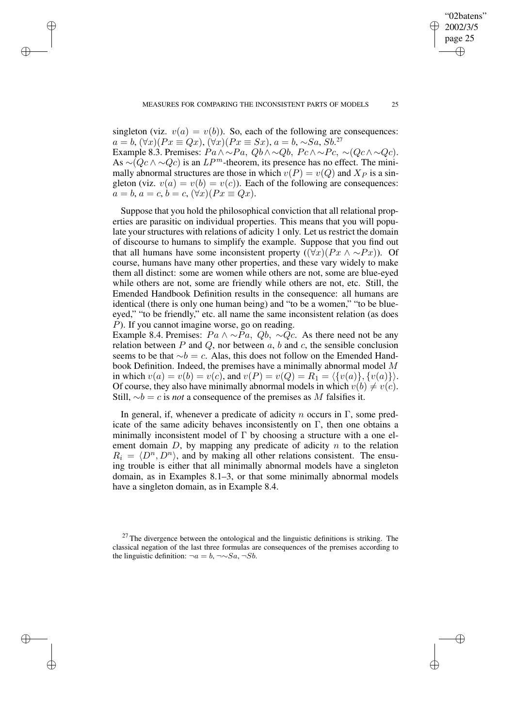"02batens" 2002/3/5 page 25

✐

✐

✐

✐

singleton (viz.  $v(a) = v(b)$ ). So, each of the following are consequences:  $a = b$ ,  $(\forall x)(Px \equiv Qx)$ ,  $(\forall x)(Px \equiv Sx)$ ,  $a = b$ ,  $\sim Sa$ ,  $Sb$ .<sup>27</sup> Example 8.3. Premises:  $Pa \wedge \neg Pa$ ,  $Qb \wedge \neg Qb$ ,  $Pc \wedge \neg Pc$ ,  $\neg (Qc \wedge \neg Qc)$ . As  $\sim (Qc \wedge \sim Qc)$  is an  $LP^m$ -theorem, its presence has no effect. The mini-

✐

✐

✐

✐

mally abnormal structures are those in which  $v(P) = v(Q)$  and  $X_P$  is a singleton (viz.  $v(a) = v(b) = v(c)$ ). Each of the following are consequences:  $a = b, a = c, b = c, (\forall x)(Px \equiv Qx).$ 

Suppose that you hold the philosophical conviction that all relational properties are parasitic on individual properties. This means that you will populate your structures with relations of adicity 1 only. Let us restrict the domain of discourse to humans to simplify the example. Suppose that you find out that all humans have some inconsistent property ( $(\forall x)(Px \land \sim Px)$ ). Of course, humans have many other properties, and these vary widely to make them all distinct: some are women while others are not, some are blue-eyed while others are not, some are friendly while others are not, etc. Still, the Emended Handbook Definition results in the consequence: all humans are identical (there is only one human being) and "to be a women," "to be blueeyed," "to be friendly," etc. all name the same inconsistent relation (as does  $P$ ). If you cannot imagine worse, go on reading.

Example 8.4. Premises:  $Pa \wedge \neg Pa$ ,  $Qb$ ,  $\neg Qc$ . As there need not be any relation between  $P$  and  $Q$ , nor between  $a$ ,  $b$  and  $c$ , the sensible conclusion seems to be that  $\sim b = c$ . Alas, this does not follow on the Emended Handbook Definition. Indeed, the premises have a minimally abnormal model M in which  $v(a) = v(b) = v(c)$ , and  $v(P) = v(Q) = R_1 = \langle \{v(a)\}, \{v(a)\}\rangle$ . Of course, they also have minimally abnormal models in which  $v(b) \neq v(c)$ . Still,  $∼b = c$  is *not* a consequence of the premises as M falsifies it.

In general, if, whenever a predicate of adicity  $n$  occurs in Γ, some predicate of the same adicity behaves inconsistently on  $\Gamma$ , then one obtains a minimally inconsistent model of  $\Gamma$  by choosing a structure with a one element domain  $D$ , by mapping any predicate of adicity  $n$  to the relation  $R_i = \langle D^n, D^n \rangle$ , and by making all other relations consistent. The ensuing trouble is either that all minimally abnormal models have a singleton domain, as in Examples 8.1–3, or that some minimally abnormal models have a singleton domain, as in Example 8.4.

 $27$  The divergence between the ontological and the linguistic definitions is striking. The classical negation of the last three formulas are consequences of the premises according to the linguistic definition:  $\neg a = b$ ,  $\neg \sim Sa$ ,  $\neg Sb$ .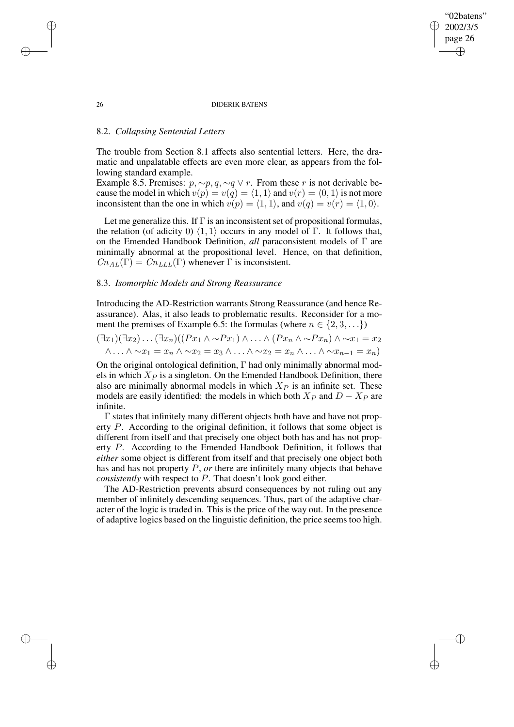"02batens" 2002/3/5 page 26

✐

✐

✐

✐

## 8.2. *Collapsing Sentential Letters*

The trouble from Section 8.1 affects also sentential letters. Here, the dramatic and unpalatable effects are even more clear, as appears from the following standard example.

Example 8.5. Premises:  $p, \sim p, q, \sim q \vee r$ . From these r is not derivable because the model in which  $v(p) = v(q) = \langle 1, 1 \rangle$  and  $v(r) = \langle 0, 1 \rangle$  is not more inconsistent than the one in which  $v(p) = \langle 1, 1 \rangle$ , and  $v(q) = v(r) = \langle 1, 0 \rangle$ .

Let me generalize this. If  $\Gamma$  is an inconsistent set of propositional formulas, the relation (of adicity 0)  $\langle 1, 1 \rangle$  occurs in any model of Γ. It follows that, on the Emended Handbook Definition, *all* paraconsistent models of Γ are minimally abnormal at the propositional level. Hence, on that definition,  $Cn_{AL}(\Gamma) = Cn_{LLL}(\Gamma)$  whenever  $\Gamma$  is inconsistent.

### 8.3. *Isomorphic Models and Strong Reassurance*

Introducing the AD-Restriction warrants Strong Reassurance (and hence Reassurance). Alas, it also leads to problematic results. Reconsider for a moment the premises of Example 6.5: the formulas (where  $n \in \{2, 3, \ldots\}$ )

$$
(\exists x_1)(\exists x_2)\dots(\exists x_n)((Px_1 \land \sim Px_1) \land \dots \land (Px_n \land \sim Px_n) \land \sim x_1 = x_2
$$
  

$$
\land \dots \land \sim x_1 = x_n \land \sim x_2 = x_3 \land \dots \land \sim x_2 = x_n \land \dots \land \sim x_{n-1} = x_n)
$$

On the original ontological definition, Γ had only minimally abnormal models in which  $X_P$  is a singleton. On the Emended Handbook Definition, there also are minimally abnormal models in which  $X_P$  is an infinite set. These models are easily identified: the models in which both  $X_P$  and  $D - X_P$  are infinite.

Γ states that infinitely many different objects both have and have not property P. According to the original definition, it follows that some object is different from itself and that precisely one object both has and has not property P. According to the Emended Handbook Definition, it follows that *either* some object is different from itself and that precisely one object both has and has not property P, *or* there are infinitely many objects that behave *consistently* with respect to P. That doesn't look good either.

The AD-Restriction prevents absurd consequences by not ruling out any member of infinitely descending sequences. Thus, part of the adaptive character of the logic is traded in. This is the price of the way out. In the presence of adaptive logics based on the linguistic definition, the price seems too high.

✐

✐

✐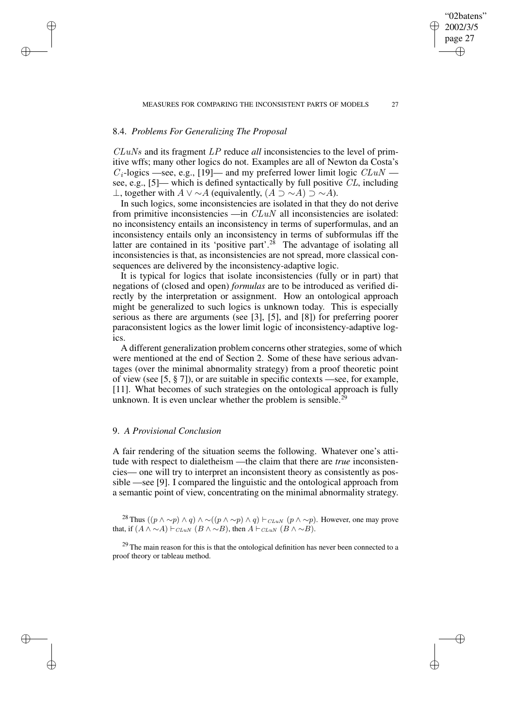# 8.4. *Problems For Generalizing The Proposal*

✐

✐

✐

✐

CLuNs and its fragment LP reduce *all* inconsistencies to the level of primitive wffs; many other logics do not. Examples are all of Newton da Costa's  $C_i$ -logics —see, e.g., [19]— and my preferred lower limit logic  $CLuN$  – see, e.g., [5]— which is defined syntactically by full positive CL, including ⊥, together with  $A \lor \sim A$  (equivalently,  $(A \supset \sim A) \supset \sim A$ ).

In such logics, some inconsistencies are isolated in that they do not derive from primitive inconsistencies  $\frac{d}{dx}$  all inconsistencies are isolated: no inconsistency entails an inconsistency in terms of superformulas, and an inconsistency entails only an inconsistency in terms of subformulas iff the latter are contained in its 'positive part'.<sup>28</sup> The advantage of isolating all inconsistencies is that, as inconsistencies are not spread, more classical consequences are delivered by the inconsistency-adaptive logic.

It is typical for logics that isolate inconsistencies (fully or in part) that negations of (closed and open) *formulas* are to be introduced as verified directly by the interpretation or assignment. How an ontological approach might be generalized to such logics is unknown today. This is especially serious as there are arguments (see [3], [5], and [8]) for preferring poorer paraconsistent logics as the lower limit logic of inconsistency-adaptive logics.

A different generalization problem concerns other strategies, some of which were mentioned at the end of Section 2. Some of these have serious advantages (over the minimal abnormality strategy) from a proof theoretic point of view (see [5, § 7]), or are suitable in specific contexts —see, for example, [11]. What becomes of such strategies on the ontological approach is fully unknown. It is even unclear whether the problem is sensible.<sup>29</sup>

# 9. *A Provisional Conclusion*

A fair rendering of the situation seems the following. Whatever one's attitude with respect to dialetheism —the claim that there are *true* inconsistencies— one will try to interpret an inconsistent theory as consistently as possible —see [9]. I compared the linguistic and the ontological approach from a semantic point of view, concentrating on the minimal abnormality strategy.

<sup>28</sup> Thus ( $(p \wedge \neg p) \wedge q$ )  $\wedge \neg((p \wedge \neg p) \wedge q) \vdash_{CLuN} (p \wedge \neg p)$ . However, one may prove that, if  $(A \wedge \neg A) \vdash_{CLuN} (B \wedge \neg B)$ , then  $A \vdash_{CLuN} (B \wedge \neg B)$ .

 $29$  The main reason for this is that the ontological definition has never been connected to a proof theory or tableau method.

"02batens" 2002/3/5 page 27

✐

✐

✐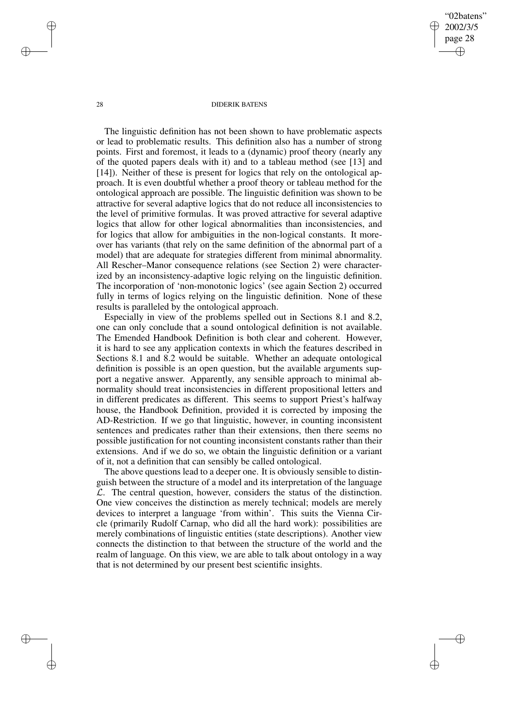"02batens" 2002/3/5 page 28 ✐ ✐

✐

✐

#### 28 DIDERIK BATENS

The linguistic definition has not been shown to have problematic aspects or lead to problematic results. This definition also has a number of strong points. First and foremost, it leads to a (dynamic) proof theory (nearly any of the quoted papers deals with it) and to a tableau method (see [13] and [14]). Neither of these is present for logics that rely on the ontological approach. It is even doubtful whether a proof theory or tableau method for the ontological approach are possible. The linguistic definition was shown to be attractive for several adaptive logics that do not reduce all inconsistencies to the level of primitive formulas. It was proved attractive for several adaptive logics that allow for other logical abnormalities than inconsistencies, and for logics that allow for ambiguities in the non-logical constants. It moreover has variants (that rely on the same definition of the abnormal part of a model) that are adequate for strategies different from minimal abnormality. All Rescher–Manor consequence relations (see Section 2) were characterized by an inconsistency-adaptive logic relying on the linguistic definition. The incorporation of 'non-monotonic logics' (see again Section 2) occurred fully in terms of logics relying on the linguistic definition. None of these results is paralleled by the ontological approach.

Especially in view of the problems spelled out in Sections 8.1 and 8.2, one can only conclude that a sound ontological definition is not available. The Emended Handbook Definition is both clear and coherent. However, it is hard to see any application contexts in which the features described in Sections 8.1 and 8.2 would be suitable. Whether an adequate ontological definition is possible is an open question, but the available arguments support a negative answer. Apparently, any sensible approach to minimal abnormality should treat inconsistencies in different propositional letters and in different predicates as different. This seems to support Priest's halfway house, the Handbook Definition, provided it is corrected by imposing the AD-Restriction. If we go that linguistic, however, in counting inconsistent sentences and predicates rather than their extensions, then there seems no possible justification for not counting inconsistent constants rather than their extensions. And if we do so, we obtain the linguistic definition or a variant of it, not a definition that can sensibly be called ontological.

The above questions lead to a deeper one. It is obviously sensible to distinguish between the structure of a model and its interpretation of the language  $\mathcal{L}$ . The central question, however, considers the status of the distinction. One view conceives the distinction as merely technical; models are merely devices to interpret a language 'from within'. This suits the Vienna Circle (primarily Rudolf Carnap, who did all the hard work): possibilities are merely combinations of linguistic entities (state descriptions). Another view connects the distinction to that between the structure of the world and the realm of language. On this view, we are able to talk about ontology in a way that is not determined by our present best scientific insights.

✐

✐

✐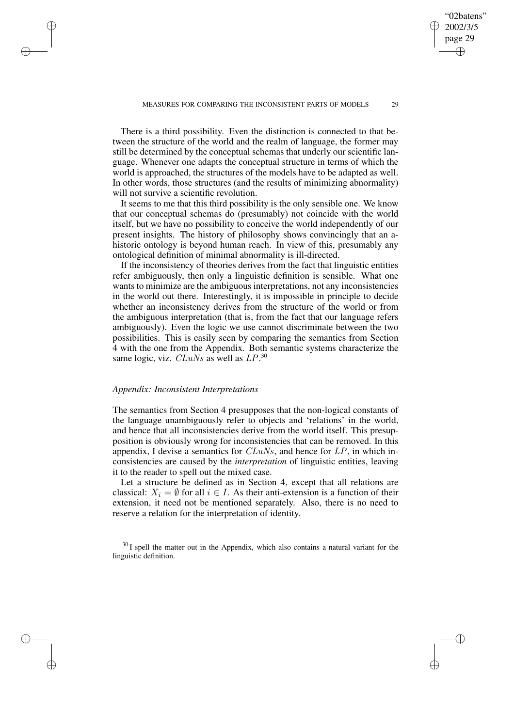There is a third possibility. Even the distinction is connected to that between the structure of the world and the realm of language, the former may still be determined by the conceptual schemas that underly our scientific language. Whenever one adapts the conceptual structure in terms of which the world is approached, the structures of the models have to be adapted as well. In other words, those structures (and the results of minimizing abnormality) will not survive a scientific revolution.

It seems to me that this third possibility is the only sensible one. We know that our conceptual schemas do (presumably) not coincide with the world itself, but we have no possibility to conceive the world independently of our present insights. The history of philosophy shows convincingly that an ahistoric ontology is beyond human reach. In view of this, presumably any ontological definition of minimal abnormality is ill-directed.

If the inconsistency of theories derives from the fact that linguistic entities refer ambiguously, then only a linguistic definition is sensible. What one wants to minimize are the ambiguous interpretations, not any inconsistencies in the world out there. Interestingly, it is impossible in principle to decide whether an inconsistency derives from the structure of the world or from the ambiguous interpretation (that is, from the fact that our language refers ambiguously). Even the logic we use cannot discriminate between the two possibilities. This is easily seen by comparing the semantics from Section 4 with the one from the Appendix. Both semantic systems characterize the same logic, viz.  $CLuNs$  as well as  $LP^{30}$ .

### *Appendix: Inconsistent Interpretations*

✐

✐

✐

✐

The semantics from Section 4 presupposes that the non-logical constants of the language unambiguously refer to objects and 'relations' in the world, and hence that all inconsistencies derive from the world itself. This presupposition is obviously wrong for inconsistencies that can be removed. In this appendix, I devise a semantics for  $CLuNs$ , and hence for  $LP$ , in which inconsistencies are caused by the *interpretation* of linguistic entities, leaving it to the reader to spell out the mixed case.

Let a structure be defined as in Section 4, except that all relations are classical:  $X_i = \emptyset$  for all  $i \in I$ . As their anti-extension is a function of their extension, it need not be mentioned separately. Also, there is no need to reserve a relation for the interpretation of identity.

 $30$  I spell the matter out in the Appendix, which also contains a natural variant for the linguistic definition.

"02batens" 2002/3/5 page 29

✐

✐

✐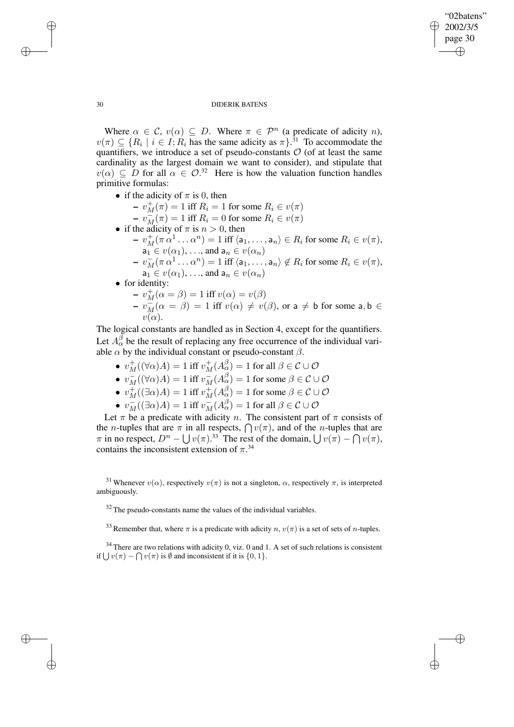✐

### 30 DIDERIK BATENS

Where  $\alpha \in \mathcal{C}$ ,  $v(\alpha) \subseteq D$ . Where  $\pi \in \mathcal{P}^n$  (a predicate of adicity n),  $v(\pi) \subseteq \{R_i \mid i \in I; R_i \text{ has the same adicity as } \pi\}.$ <sup>31</sup> To accommodate the quantifiers, we introduce a set of pseudo-constants  $O$  (of at least the same cardinality as the largest domain we want to consider), and stipulate that  $v(\alpha) \subseteq D$  for all  $\alpha \in \mathcal{O}^{32}$  Here is how the valuation function handles primitive formulas:

- if the adicity of  $\pi$  is 0, then
	- $v_M^+(\pi) = 1$  iff  $R_i = 1$  for some  $R_i \in v(\pi)$
	- $-\bar{v}_{M}(\pi) = 1$  iff  $R_{i} = 0$  for some  $R_{i} \in v(\pi)$
- if the adicity of  $\pi$  is  $n > 0$ , then
	- $v_M^+(\pi\alpha^1\ldots\alpha^n) = 1$  iff  $\langle a_1,\ldots,a_n \rangle \in R_i$  for some  $R_i \in v(\pi)$ ,  $a_1 \in v(\alpha_1), \ldots$ , and  $a_n \in v(\alpha_n)$
	- $v_M^-(\pi\,\alpha^1\ldots\alpha^n) = 1$  iff  $\langle a_1,\ldots,a_n \rangle \notin R_i$  for some  $R_i \in v(\pi)$ ,  $a_1 \in v(\alpha_1), \ldots$ , and  $a_n \in v(\alpha_n)$
- for identity:
	- $-v_M^+(\alpha = \beta) = 1$  iff  $v(\alpha) = v(\beta)$  $-\overline{v_M}(\alpha = \beta) = 1$  iff  $v(\alpha) \neq v(\beta)$ , or a  $\neq$  b for some a, b  $\in$  $v(\alpha)$ .

The logical constants are handled as in Section 4, except for the quantifiers. Let  $A_{\alpha}^{\beta}$  be the result of replacing any free occurrence of the individual variable  $\alpha$  by the individual constant or pseudo-constant  $\beta$ .

- $v_M^+((\forall \alpha)A) = 1$  iff  $v_M^+(A^\beta_\alpha) = 1$  for all  $\beta \in \mathcal{C} \cup \mathcal{O}$
- $v_M^-((\forall \alpha)A) = 1$  iff  $v_M^-(A_{\alpha}^{\beta}) = 1$  for some  $\beta \in \mathcal{C} \cup \mathcal{O}$
- $v_M^+((\exists \alpha)A) = 1$  iff  $v_M^+(A_{\alpha}^{\beta}) = 1$  for some  $\beta \in \mathcal{C} \cup \mathcal{O}$
- $v_M^-((\exists \alpha)A) = 1$  iff  $v_M^-(A_{\alpha}^{\beta}) = 1$  for all  $\beta \in \mathcal{C} \cup \mathcal{O}$

Let  $\pi$  be a predicate with adicity n. The consistent part of  $\pi$  consists of the *n*-tuples that are  $\pi$  in all respects,  $\bigcap v(\pi)$ , and of the *n*-tuples that are  $\pi$  in no respect,  $D^n - \bigcup v(\pi)$ .<sup>33</sup> The rest of the domain,  $\bigcup v(\pi) - \bigcap v(\pi)$ , contains the inconsistent extension of  $\pi$ <sup>34</sup>

 $32$  The pseudo-constants name the values of the individual variables.

<sup>33</sup> Remember that, where  $\pi$  is a predicate with adicity  $n, v(\pi)$  is a set of sets of *n*-tuples.

 $34$  There are two relations with adicity 0, viz. 0 and 1. A set of such relations is consistent if  $\bigcup v(\pi) - \bigcap v(\pi)$  is  $\emptyset$  and inconsistent if it is  $\{0, 1\}.$ 

✐

✐

✐

<sup>&</sup>lt;sup>31</sup> Whenever  $v(\alpha)$ , respectively  $v(\pi)$  is not a singleton,  $\alpha$ , respectively  $\pi$ , is interpreted ambiguously.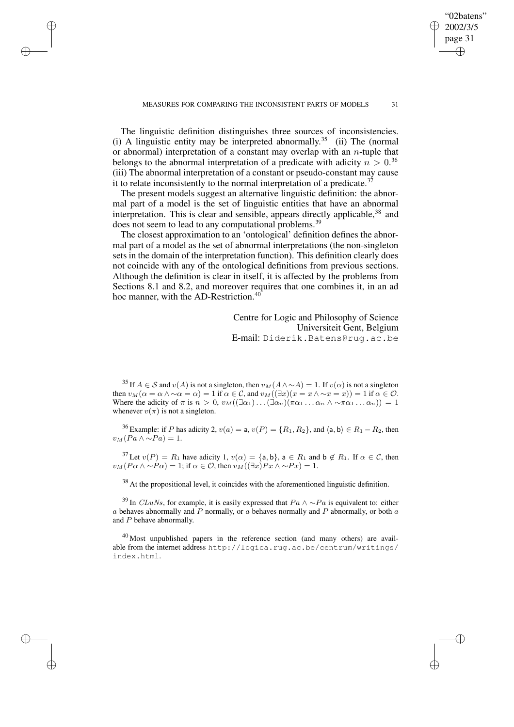The linguistic definition distinguishes three sources of inconsistencies. (i) A linguistic entity may be interpreted abnormally.<sup>35</sup> (ii) The (normal or abnormal) interpretation of a constant may overlap with an  $n$ -tuple that belongs to the abnormal interpretation of a predicate with adicity  $n > 0$ .<sup>36</sup> (iii) The abnormal interpretation of a constant or pseudo-constant may cause it to relate inconsistently to the normal interpretation of a predicate.<sup>37</sup>

✐

✐

✐

✐

The present models suggest an alternative linguistic definition: the abnormal part of a model is the set of linguistic entities that have an abnormal interpretation. This is clear and sensible, appears directly applicable,  $38$  and does not seem to lead to any computational problems.<sup>39</sup>

The closest approximation to an 'ontological' definition defines the abnormal part of a model as the set of abnormal interpretations (the non-singleton sets in the domain of the interpretation function). This definition clearly does not coincide with any of the ontological definitions from previous sections. Although the definition is clear in itself, it is affected by the problems from Sections 8.1 and 8.2, and moreover requires that one combines it, in an ad hoc manner, with the AD-Restriction.<sup>40</sup>

> Centre for Logic and Philosophy of Science Universiteit Gent, Belgium E-mail: Diderik.Batens@rug.ac.be

"02batens" 2002/3/5 page 31

✐

✐

✐

✐

<sup>35</sup> If  $A \in \mathcal{S}$  and  $v(A)$  is not a singleton, then  $v_M(A \wedge \sim A) = 1$ . If  $v(\alpha)$  is not a singleton then  $v_M(\alpha = \alpha \wedge \alpha = \alpha) = 1$  if  $\alpha \in C$ , and  $v_M((\exists x)(x = x \wedge \alpha = x)) = 1$  if  $\alpha \in \mathcal{O}$ . Where the adicity of  $\pi$  is  $n > 0$ ,  $v_M((\exists \alpha_1) \dots (\exists \alpha_n)(\pi \alpha_1 \dots \alpha_n \wedge \neg \pi \alpha_1 \dots \alpha_n)) = 1$ whenever  $v(\pi)$  is not a singleton.

<sup>36</sup> Example: if P has adicity 2,  $v(a) = a$ ,  $v(P) = \{R_1, R_2\}$ , and  $\langle a, b \rangle \in R_1 - R_2$ , then  $v_M (Pa \wedge \sim Pa) = 1.$ 

<sup>37</sup> Let  $v(P) = R_1$  have adicity 1,  $v(\alpha) = \{\text{a}, \text{b}\}\$ ,  $\text{a} \in R_1$  and  $\text{b} \notin R_1$ . If  $\alpha \in \mathcal{C}$ , then  $v_M(P\alpha \wedge \neg P\alpha) = 1$ ; if  $\alpha \in \mathcal{O}$ , then  $v_M((\exists x)Px \wedge \neg Px) = 1$ .

<sup>38</sup> At the propositional level, it coincides with the aforementioned linguistic definition.

<sup>39</sup> In *CLuNs*, for example, it is easily expressed that  $Pa \wedge \sim Pa$  is equivalent to: either  $a$  behaves abnormally and  $P$  normally, or  $a$  behaves normally and  $P$  abnormally, or both  $a$ and P behave abnormally.

<sup>40</sup> Most unpublished papers in the reference section (and many others) are available from the internet address http://logica.rug.ac.be/centrum/writings/ index.html.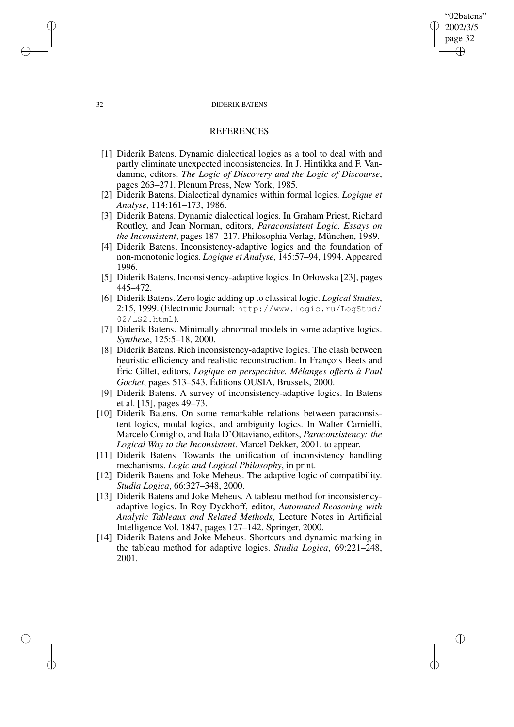"02batens" 2002/3/5 page 32

✐

✐

✐

✐

# **REFERENCES**

- [1] Diderik Batens. Dynamic dialectical logics as a tool to deal with and partly eliminate unexpected inconsistencies. In J. Hintikka and F. Vandamme, editors, *The Logic of Discovery and the Logic of Discourse*, pages 263–271. Plenum Press, New York, 1985.
- [2] Diderik Batens. Dialectical dynamics within formal logics. *Logique et Analyse*, 114:161–173, 1986.
- [3] Diderik Batens. Dynamic dialectical logics. In Graham Priest, Richard Routley, and Jean Norman, editors, *Paraconsistent Logic. Essays on the Inconsistent*, pages 187–217. Philosophia Verlag, München, 1989.
- [4] Diderik Batens. Inconsistency-adaptive logics and the foundation of non-monotonic logics. *Logique et Analyse*, 145:57–94, 1994. Appeared 1996.
- [5] Diderik Batens. Inconsistency-adaptive logics. In Orłowska [23], pages 445–472.
- [6] Diderik Batens. Zero logic adding up to classical logic. *Logical Studies*, 2:15, 1999. (Electronic Journal: http://www.logic.ru/LogStud/ 02/LS2.html).
- [7] Diderik Batens. Minimally abnormal models in some adaptive logics. *Synthese*, 125:5–18, 2000.
- [8] Diderik Batens. Rich inconsistency-adaptive logics. The clash between heuristic efficiency and realistic reconstruction. In François Beets and Éric Gillet, editors, *Logique en perspecitive. Mélanges offerts à Paul Gochet*, pages 513–543. Éditions OUSIA, Brussels, 2000.
- [9] Diderik Batens. A survey of inconsistency-adaptive logics. In Batens et al. [15], pages 49–73.
- [10] Diderik Batens. On some remarkable relations between paraconsistent logics, modal logics, and ambiguity logics. In Walter Carnielli, Marcelo Coniglio, and Itala D'Ottaviano, editors, *Paraconsistency: the Logical Way to the Inconsistent*. Marcel Dekker, 2001. to appear.
- [11] Diderik Batens. Towards the unification of inconsistency handling mechanisms. *Logic and Logical Philosophy*, in print.
- [12] Diderik Batens and Joke Meheus. The adaptive logic of compatibility. *Studia Logica*, 66:327–348, 2000.
- [13] Diderik Batens and Joke Meheus. A tableau method for inconsistencyadaptive logics. In Roy Dyckhoff, editor, *Automated Reasoning with Analytic Tableaux and Related Methods*, Lecture Notes in Artificial Intelligence Vol. 1847, pages 127–142. Springer, 2000.
- [14] Diderik Batens and Joke Meheus. Shortcuts and dynamic marking in the tableau method for adaptive logics. *Studia Logica*, 69:221–248, 2001.

✐

✐

✐